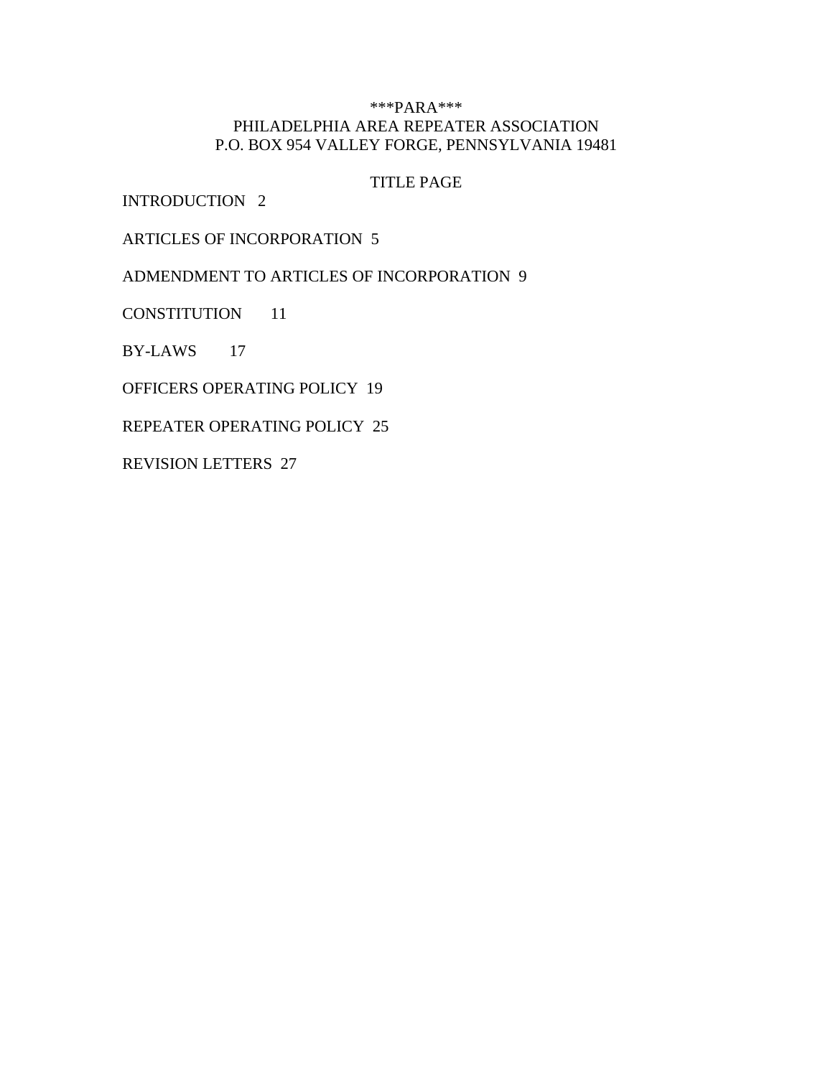### \*\*\*PARA\*\*\* PHILADELPHIA AREA REPEATER ASSOCIATION P.O. BOX 954 VALLEY FORGE, PENNSYLVANIA 19481

## TITLE PAGE

INTRODUCTION 2

ARTICLES OF INCORPORATION 5

ADMENDMENT TO ARTICLES OF INCORPORATION 9

CONSTITUTION 11

BY-LAWS 17

OFFICERS OPERATING POLICY 19

REPEATER OPERATING POLICY 25

REVISION LETTERS 27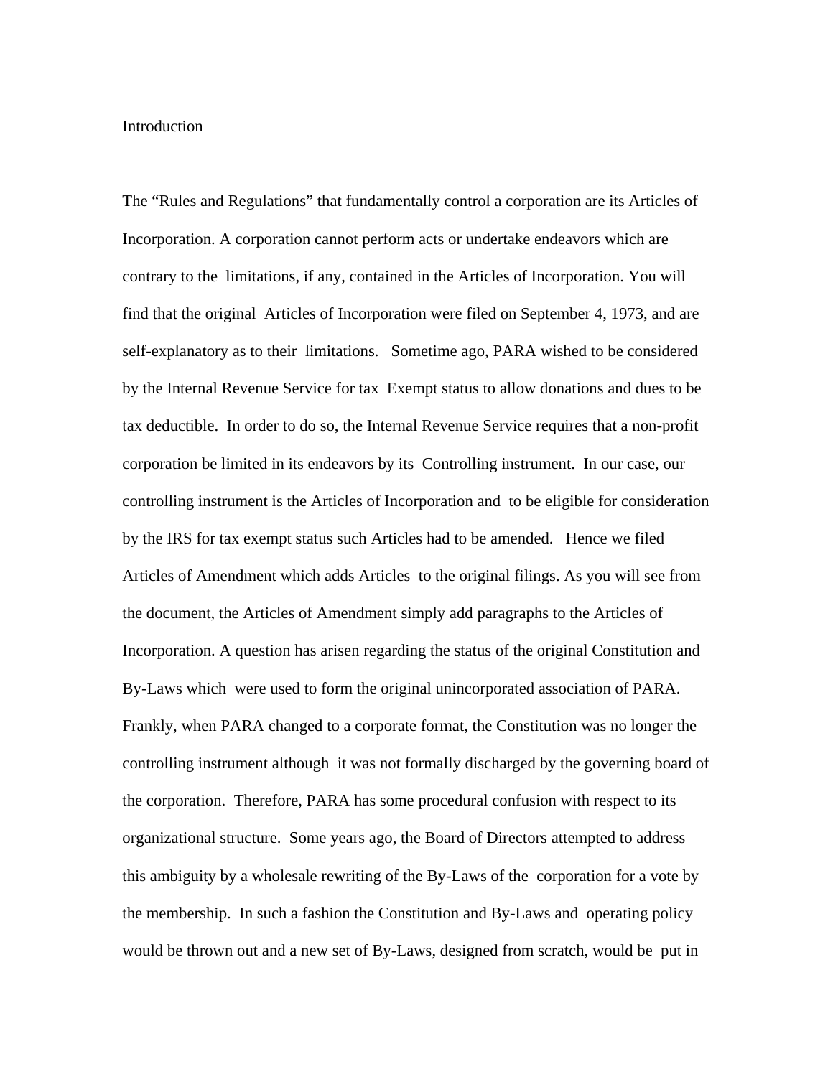#### **Introduction**

The "Rules and Regulations" that fundamentally control a corporation are its Articles of Incorporation. A corporation cannot perform acts or undertake endeavors which are contrary to the limitations, if any, contained in the Articles of Incorporation. You will find that the original Articles of Incorporation were filed on September 4, 1973, and are self-explanatory as to their limitations. Sometime ago, PARA wished to be considered by the Internal Revenue Service for tax Exempt status to allow donations and dues to be tax deductible. In order to do so, the Internal Revenue Service requires that a non-profit corporation be limited in its endeavors by its Controlling instrument. In our case, our controlling instrument is the Articles of Incorporation and to be eligible for consideration by the IRS for tax exempt status such Articles had to be amended. Hence we filed Articles of Amendment which adds Articles to the original filings. As you will see from the document, the Articles of Amendment simply add paragraphs to the Articles of Incorporation. A question has arisen regarding the status of the original Constitution and By-Laws which were used to form the original unincorporated association of PARA. Frankly, when PARA changed to a corporate format, the Constitution was no longer the controlling instrument although it was not formally discharged by the governing board of the corporation. Therefore, PARA has some procedural confusion with respect to its organizational structure. Some years ago, the Board of Directors attempted to address this ambiguity by a wholesale rewriting of the By-Laws of the corporation for a vote by the membership. In such a fashion the Constitution and By-Laws and operating policy would be thrown out and a new set of By-Laws, designed from scratch, would be put in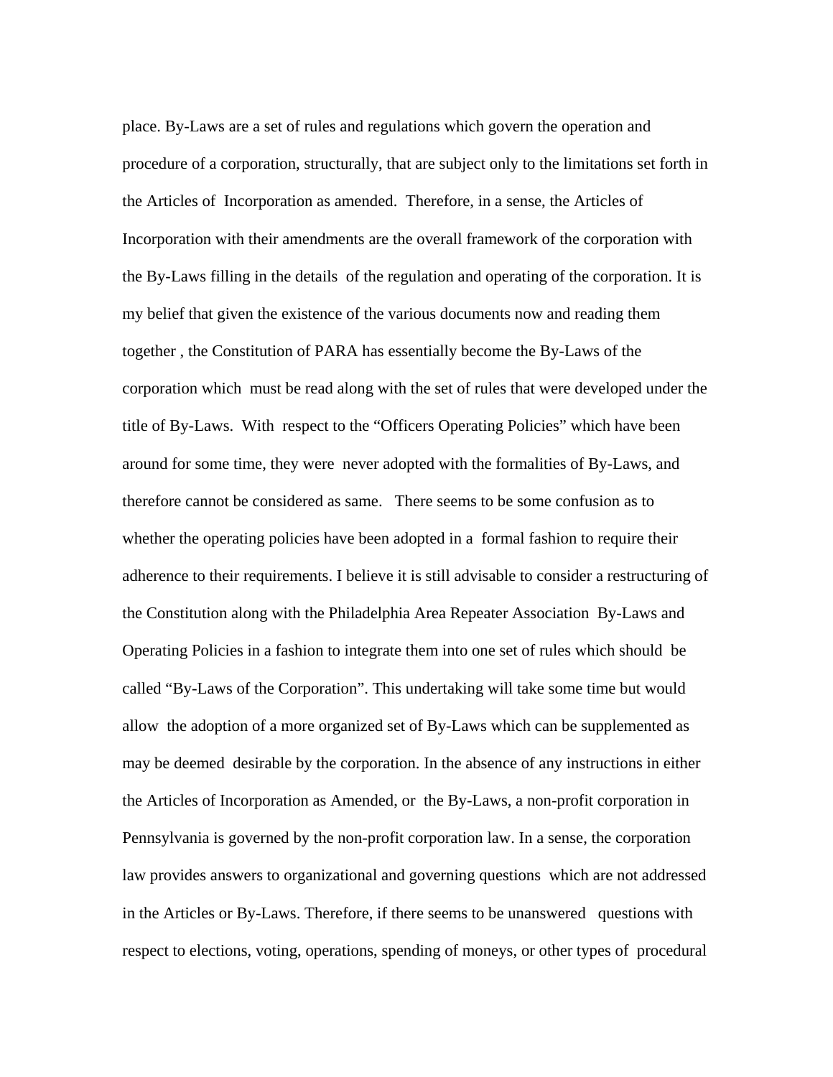place. By-Laws are a set of rules and regulations which govern the operation and procedure of a corporation, structurally, that are subject only to the limitations set forth in the Articles of Incorporation as amended. Therefore, in a sense, the Articles of Incorporation with their amendments are the overall framework of the corporation with the By-Laws filling in the details of the regulation and operating of the corporation. It is my belief that given the existence of the various documents now and reading them together , the Constitution of PARA has essentially become the By-Laws of the corporation which must be read along with the set of rules that were developed under the title of By-Laws. With respect to the "Officers Operating Policies" which have been around for some time, they were never adopted with the formalities of By-Laws, and therefore cannot be considered as same. There seems to be some confusion as to whether the operating policies have been adopted in a formal fashion to require their adherence to their requirements. I believe it is still advisable to consider a restructuring of the Constitution along with the Philadelphia Area Repeater Association By-Laws and Operating Policies in a fashion to integrate them into one set of rules which should be called "By-Laws of the Corporation". This undertaking will take some time but would allow the adoption of a more organized set of By-Laws which can be supplemented as may be deemed desirable by the corporation. In the absence of any instructions in either the Articles of Incorporation as Amended, or the By-Laws, a non-profit corporation in Pennsylvania is governed by the non-profit corporation law. In a sense, the corporation law provides answers to organizational and governing questions which are not addressed in the Articles or By-Laws. Therefore, if there seems to be unanswered questions with respect to elections, voting, operations, spending of moneys, or other types of procedural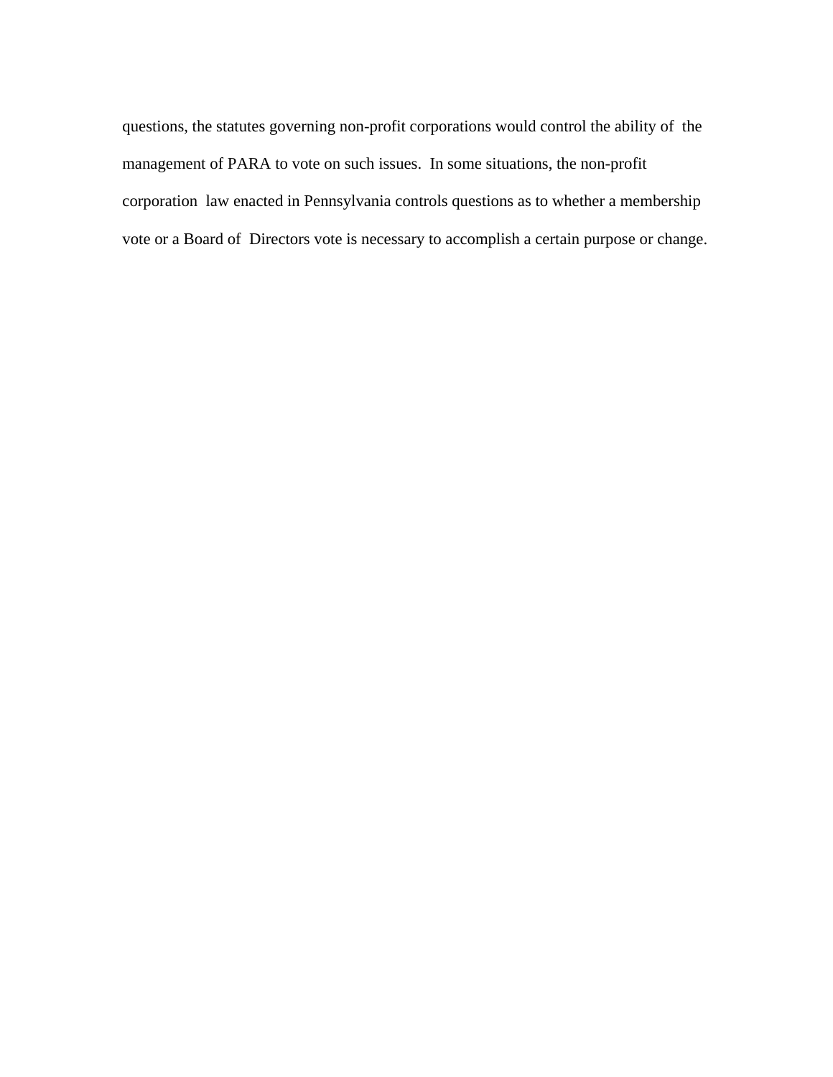questions, the statutes governing non-profit corporations would control the ability of the management of PARA to vote on such issues. In some situations, the non-profit corporation law enacted in Pennsylvania controls questions as to whether a membership vote or a Board of Directors vote is necessary to accomplish a certain purpose or change.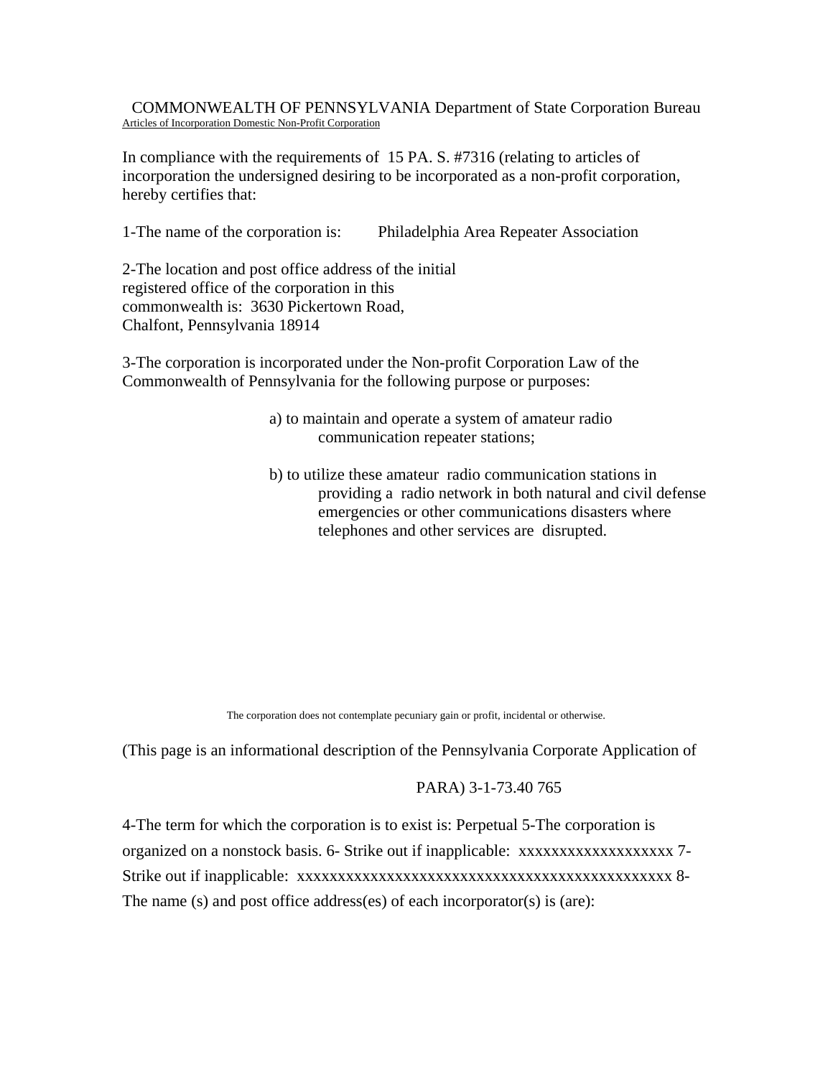COMMONWEALTH OF PENNSYLVANIA Department of State Corporation Bureau Articles of Incorporation Domestic Non-Profit Corporation

In compliance with the requirements of 15 PA. S. #7316 (relating to articles of incorporation the undersigned desiring to be incorporated as a non-profit corporation, hereby certifies that:

1-The name of the corporation is: Philadelphia Area Repeater Association

2-The location and post office address of the initial registered office of the corporation in this commonwealth is: 3630 Pickertown Road, Chalfont, Pennsylvania 18914

3-The corporation is incorporated under the Non-profit Corporation Law of the Commonwealth of Pennsylvania for the following purpose or purposes:

- a) to maintain and operate a system of amateur radio communication repeater stations;
- b) to utilize these amateur radio communication stations in providing a radio network in both natural and civil defense emergencies or other communications disasters where telephones and other services are disrupted.

The corporation does not contemplate pecuniary gain or profit, incidental or otherwise.

(This page is an informational description of the Pennsylvania Corporate Application of

#### PARA) 3-1-73.40 765

4-The term for which the corporation is to exist is: Perpetual 5-The corporation is organized on a nonstock basis. 6- Strike out if inapplicable: xxxxxxxxxxxxxxxxxxx 7- Strike out if inapplicable: xxxxxxxxxxxxxxxxxxxxxxxxxxxxxxxxxxxxxxxxxxxxxx 8- The name (s) and post office address(es) of each incorporator(s) is (are):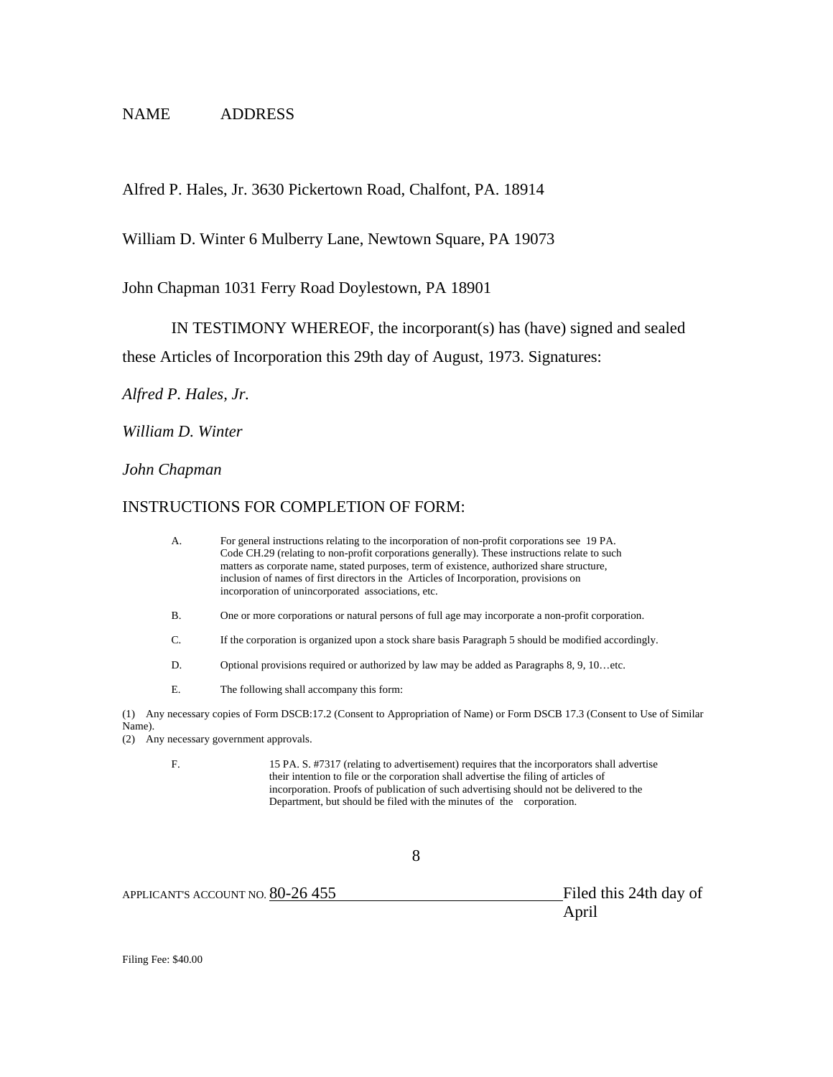### NAME ADDRESS

Alfred P. Hales, Jr. 3630 Pickertown Road, Chalfont, PA. 18914

William D. Winter 6 Mulberry Lane, Newtown Square, PA 19073

John Chapman 1031 Ferry Road Doylestown, PA 18901

IN TESTIMONY WHEREOF, the incorporant(s) has (have) signed and sealed

these Articles of Incorporation this 29th day of August, 1973. Signatures:

*Alfred P. Hales, Jr.* 

*William D. Winter* 

*John Chapman* 

#### INSTRUCTIONS FOR COMPLETION OF FORM:

|                      | A.                                                                                                                     | For general instructions relating to the incorporation of non-profit corporations see 19 PA.<br>Code CH.29 (relating to non-profit corporations generally). These instructions relate to such<br>matters as corporate name, stated purposes, term of existence, authorized share structure,<br>inclusion of names of first directors in the Articles of Incorporation, provisions on<br>incorporation of unincorporated associations, etc. |  |  |  |
|----------------------|------------------------------------------------------------------------------------------------------------------------|--------------------------------------------------------------------------------------------------------------------------------------------------------------------------------------------------------------------------------------------------------------------------------------------------------------------------------------------------------------------------------------------------------------------------------------------|--|--|--|
| (1)<br>Name).<br>(2) | <b>B.</b>                                                                                                              | One or more corporations or natural persons of full age may incorporate a non-profit corporation.                                                                                                                                                                                                                                                                                                                                          |  |  |  |
|                      | C.                                                                                                                     | If the corporation is organized upon a stock share basis Paragraph 5 should be modified accordingly.<br>Optional provisions required or authorized by law may be added as Paragraphs 8, 9, 10etc.                                                                                                                                                                                                                                          |  |  |  |
|                      | D.                                                                                                                     |                                                                                                                                                                                                                                                                                                                                                                                                                                            |  |  |  |
|                      | Ε.                                                                                                                     | The following shall accompany this form:                                                                                                                                                                                                                                                                                                                                                                                                   |  |  |  |
|                      | Any necessary copies of Form DSCB:17.2 (Consent to Appropriation of Name) or Form DSCB 17.3 (Consent to Use of Similar |                                                                                                                                                                                                                                                                                                                                                                                                                                            |  |  |  |
|                      | Any necessary government approvals.                                                                                    |                                                                                                                                                                                                                                                                                                                                                                                                                                            |  |  |  |
|                      | F.                                                                                                                     | 15 PA. S. #7317 (relating to advertisement) requires that the incorporators shall advertise<br>their intention to file or the corporation shall advertise the filing of articles of<br>incorporation. Proofs of publication of such advertising should not be delivered to the<br>Department, but should be filed with the minutes of the corporation.                                                                                     |  |  |  |
|                      |                                                                                                                        | 8                                                                                                                                                                                                                                                                                                                                                                                                                                          |  |  |  |

APPLICANT'S ACCOUNT NO. 80-26 455 Filed this 24th day of

April

Filing Fee: \$40.00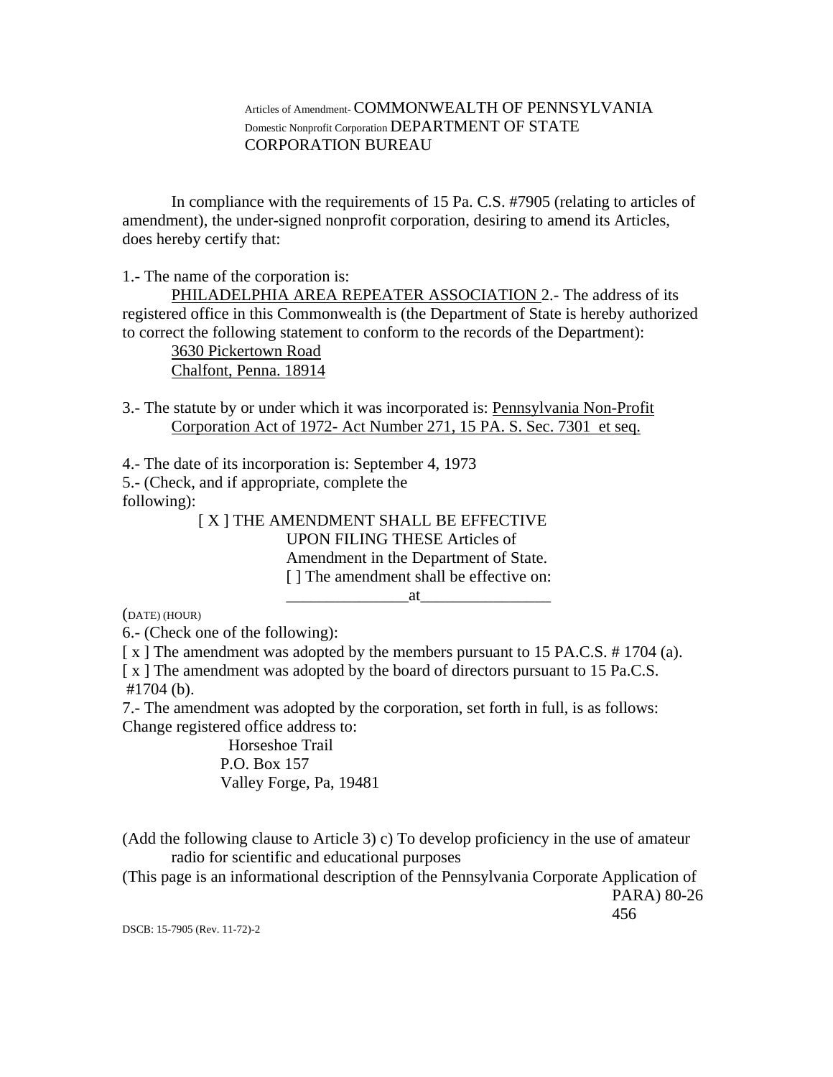### Articles of Amendment- COMMONWEALTH OF PENNSYLVANIA Domestic Nonprofit Corporation DEPARTMENT OF STATE CORPORATION BUREAU

In compliance with the requirements of 15 Pa. C.S. #7905 (relating to articles of amendment), the under-signed nonprofit corporation, desiring to amend its Articles, does hereby certify that:

1.- The name of the corporation is:

PHILADELPHIA AREA REPEATER ASSOCIATION 2.- The address of its registered office in this Commonwealth is (the Department of State is hereby authorized to correct the following statement to conform to the records of the Department):

3630 Pickertown Road Chalfont, Penna. 18914

3.- The statute by or under which it was incorporated is: Pennsylvania Non-Profit Corporation Act of 1972- Act Number 271, 15 PA. S. Sec. 7301 et seq.

4.- The date of its incorporation is: September 4, 1973 5.- (Check, and if appropriate, complete the following): [ X ] THE AMENDMENT SHALL BE EFFECTIVE

UPON FILING THESE Articles of Amendment in the Department of State. [] The amendment shall be effective on:

(DATE) (HOUR)

6.- (Check one of the following):

[x] The amendment was adopted by the members pursuant to 15 PA.C.S. #1704 (a).

 $at$   $\qquad \qquad$ 

[x] The amendment was adopted by the board of directors pursuant to 15 Pa.C.S. #1704 (b).

7.- The amendment was adopted by the corporation, set forth in full, is as follows: Change registered office address to:

> Horseshoe Trail P.O. Box 157 Valley Forge, Pa, 19481

(Add the following clause to Article 3) c) To develop proficiency in the use of amateur radio for scientific and educational purposes

(This page is an informational description of the Pennsylvania Corporate Application of

PARA) 80-26 456

DSCB: 15-7905 (Rev. 11-72)-2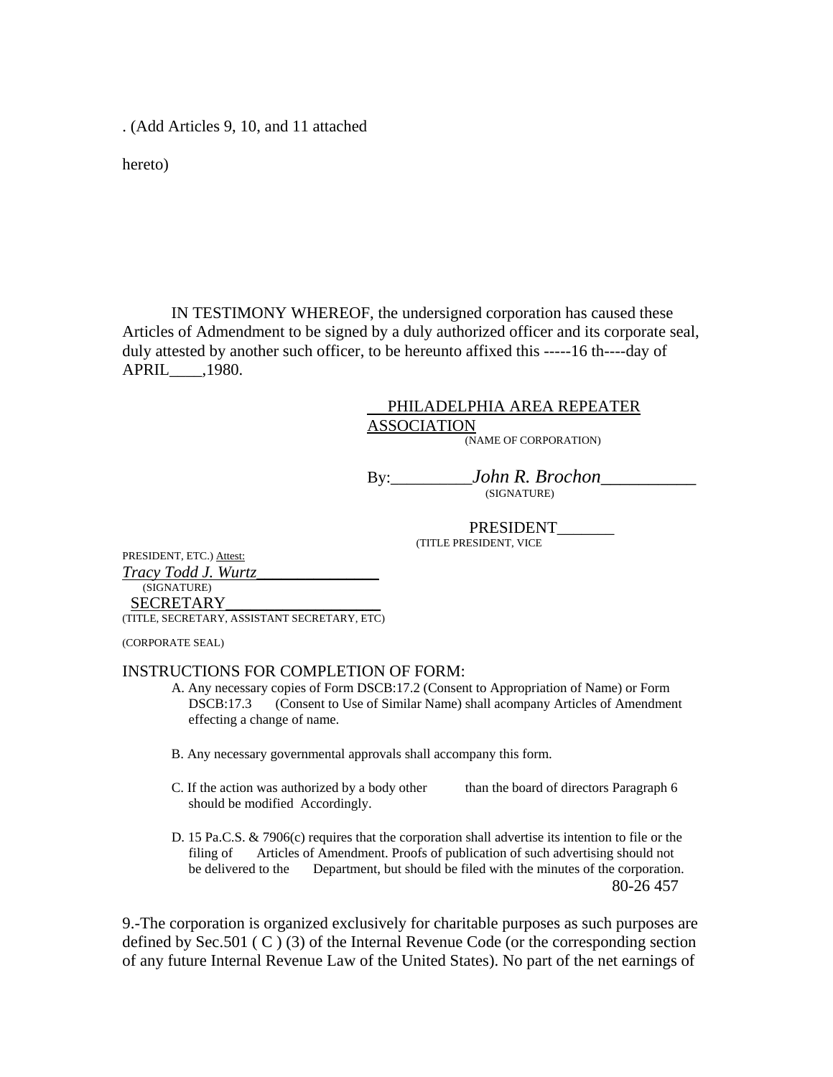. (Add Articles 9, 10, and 11 attached

hereto)

IN TESTIMONY WHEREOF, the undersigned corporation has caused these Articles of Admendment to be signed by a duly authorized officer and its corporate seal, duly attested by another such officer, to be hereunto affixed this -----16 th----day of APRIL\_\_\_\_,1980.

## PHILADELPHIA AREA REPEATER ASSOCIATION

(NAME OF CORPORATION)

By:\_\_\_\_\_\_\_\_\_\_*John R. Brochon\_\_\_\_\_\_\_\_\_\_*  (SIGNATURE)

> PRESIDENT (TITLE PRESIDENT, VICE

PRESIDENT, ETC.) Attest: *Tracy Todd J. Wurtz\_\_\_\_\_\_\_\_\_\_\_\_\_\_\_* (SIGNATURE) SECRETARY\_\_\_\_\_\_\_\_\_\_\_\_\_\_\_\_\_\_\_

(TITLE, SECRETARY, ASSISTANT SECRETARY, ETC)

(CORPORATE SEAL)

#### INSTRUCTIONS FOR COMPLETION OF FORM:

- A. Any necessary copies of Form DSCB:17.2 (Consent to Appropriation of Name) or Form DSCB:17.3 (Consent to Use of Similar Name) shall acompany Articles of Amendment effecting a change of name.
- B. Any necessary governmental approvals shall accompany this form.
- C. If the action was authorized by a body other than the board of directors Paragraph 6 should be modified Accordingly.
- D. 15 Pa.C.S. & 7906(c) requires that the corporation shall advertise its intention to file or the filing of Articles of Amendment. Proofs of publication of such advertising should not be delivered to the Department, but should be filed with the minutes of the corporation. 80-26 457

9.-The corporation is organized exclusively for charitable purposes as such purposes are defined by Sec.501 ( C ) (3) of the Internal Revenue Code (or the corresponding section of any future Internal Revenue Law of the United States). No part of the net earnings of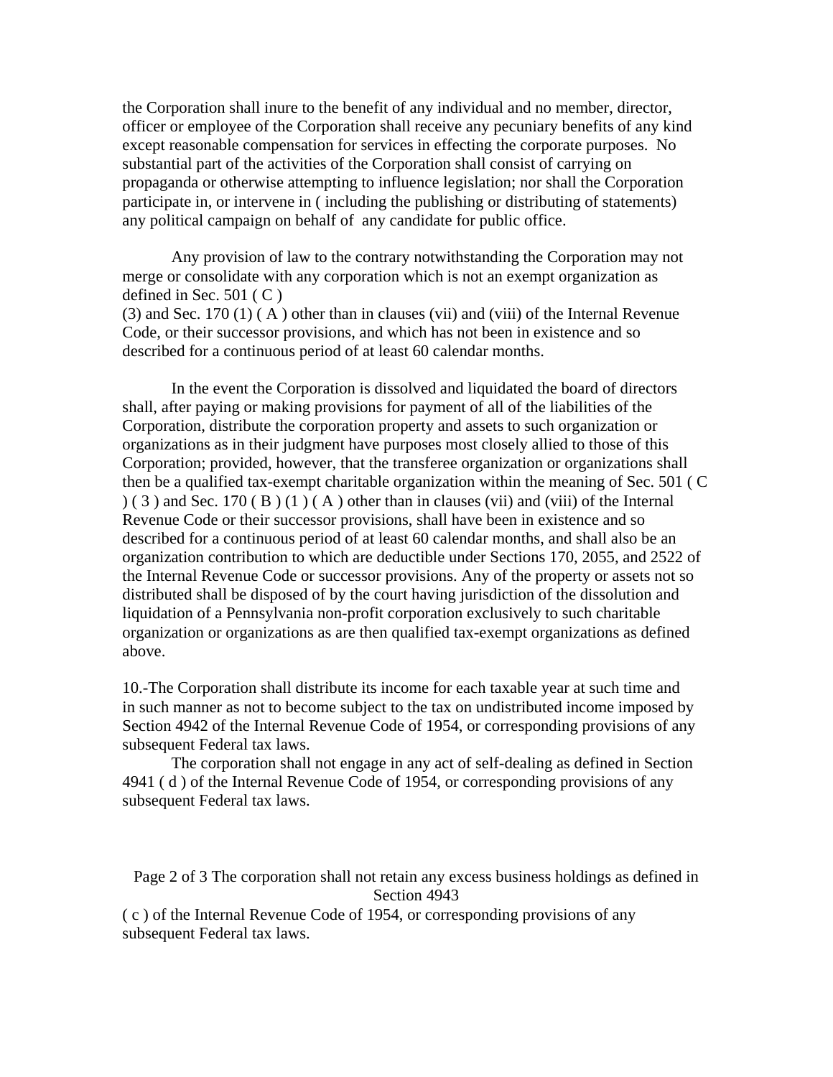the Corporation shall inure to the benefit of any individual and no member, director, officer or employee of the Corporation shall receive any pecuniary benefits of any kind except reasonable compensation for services in effecting the corporate purposes. No substantial part of the activities of the Corporation shall consist of carrying on propaganda or otherwise attempting to influence legislation; nor shall the Corporation participate in, or intervene in ( including the publishing or distributing of statements) any political campaign on behalf of any candidate for public office.

Any provision of law to the contrary notwithstanding the Corporation may not merge or consolidate with any corporation which is not an exempt organization as defined in Sec.  $501$  (C)

(3) and Sec. 170 (1) ( A ) other than in clauses (vii) and (viii) of the Internal Revenue Code, or their successor provisions, and which has not been in existence and so described for a continuous period of at least 60 calendar months.

In the event the Corporation is dissolved and liquidated the board of directors shall, after paying or making provisions for payment of all of the liabilities of the Corporation, distribute the corporation property and assets to such organization or organizations as in their judgment have purposes most closely allied to those of this Corporation; provided, however, that the transferee organization or organizations shall then be a qualified tax-exempt charitable organization within the meaning of Sec. 501 ( C  $(3)$  and Sec. 170 (B)(1)(A) other than in clauses (vii) and (viii) of the Internal Revenue Code or their successor provisions, shall have been in existence and so described for a continuous period of at least 60 calendar months, and shall also be an organization contribution to which are deductible under Sections 170, 2055, and 2522 of the Internal Revenue Code or successor provisions. Any of the property or assets not so distributed shall be disposed of by the court having jurisdiction of the dissolution and liquidation of a Pennsylvania non-profit corporation exclusively to such charitable organization or organizations as are then qualified tax-exempt organizations as defined above.

10.-The Corporation shall distribute its income for each taxable year at such time and in such manner as not to become subject to the tax on undistributed income imposed by Section 4942 of the Internal Revenue Code of 1954, or corresponding provisions of any subsequent Federal tax laws.

The corporation shall not engage in any act of self-dealing as defined in Section 4941 ( d ) of the Internal Revenue Code of 1954, or corresponding provisions of any subsequent Federal tax laws.

Page 2 of 3 The corporation shall not retain any excess business holdings as defined in Section 4943

( c ) of the Internal Revenue Code of 1954, or corresponding provisions of any subsequent Federal tax laws.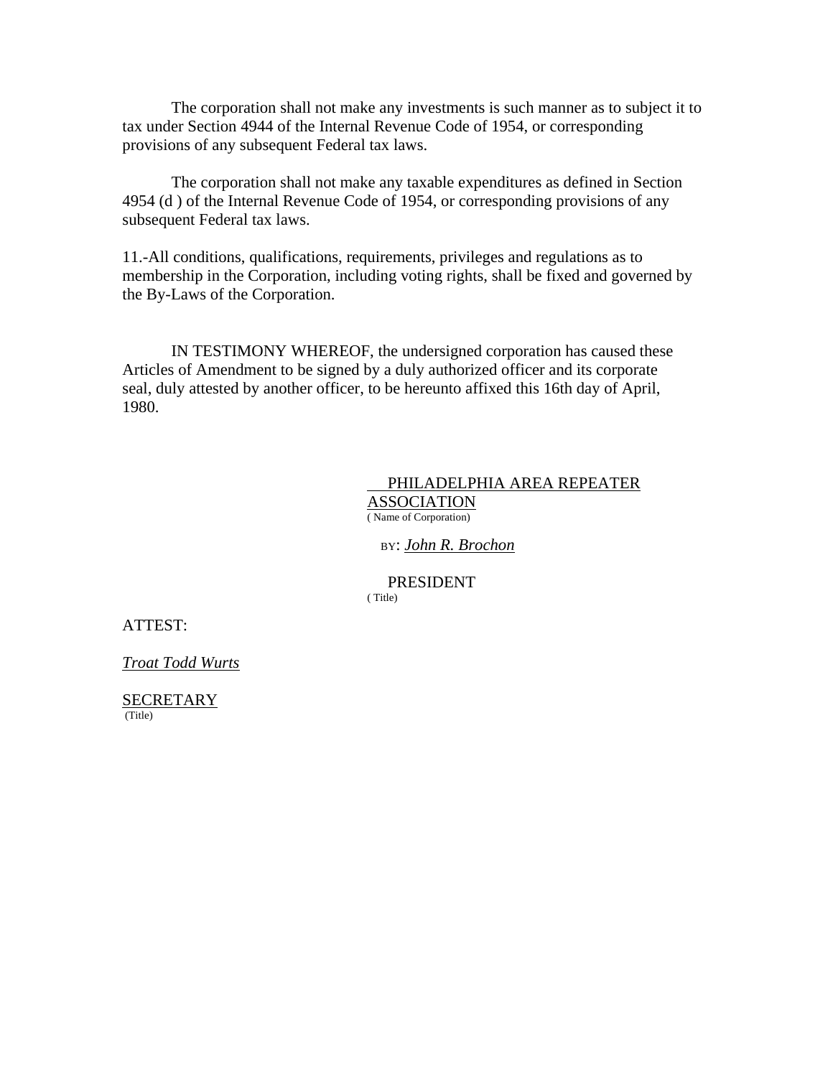The corporation shall not make any investments is such manner as to subject it to tax under Section 4944 of the Internal Revenue Code of 1954, or corresponding provisions of any subsequent Federal tax laws.

The corporation shall not make any taxable expenditures as defined in Section 4954 (d ) of the Internal Revenue Code of 1954, or corresponding provisions of any subsequent Federal tax laws.

11.-All conditions, qualifications, requirements, privileges and regulations as to membership in the Corporation, including voting rights, shall be fixed and governed by the By-Laws of the Corporation.

IN TESTIMONY WHEREOF, the undersigned corporation has caused these Articles of Amendment to be signed by a duly authorized officer and its corporate seal, duly attested by another officer, to be hereunto affixed this 16th day of April, 1980.

#### PHILADELPHIA AREA REPEATER **ASSOCIATION** ( Name of Corporation)

BY: *John R. Brochon*

 PRESIDENT ( Title)

ATTEST:

*Troat Todd Wurts* 

SECRETARY (Title)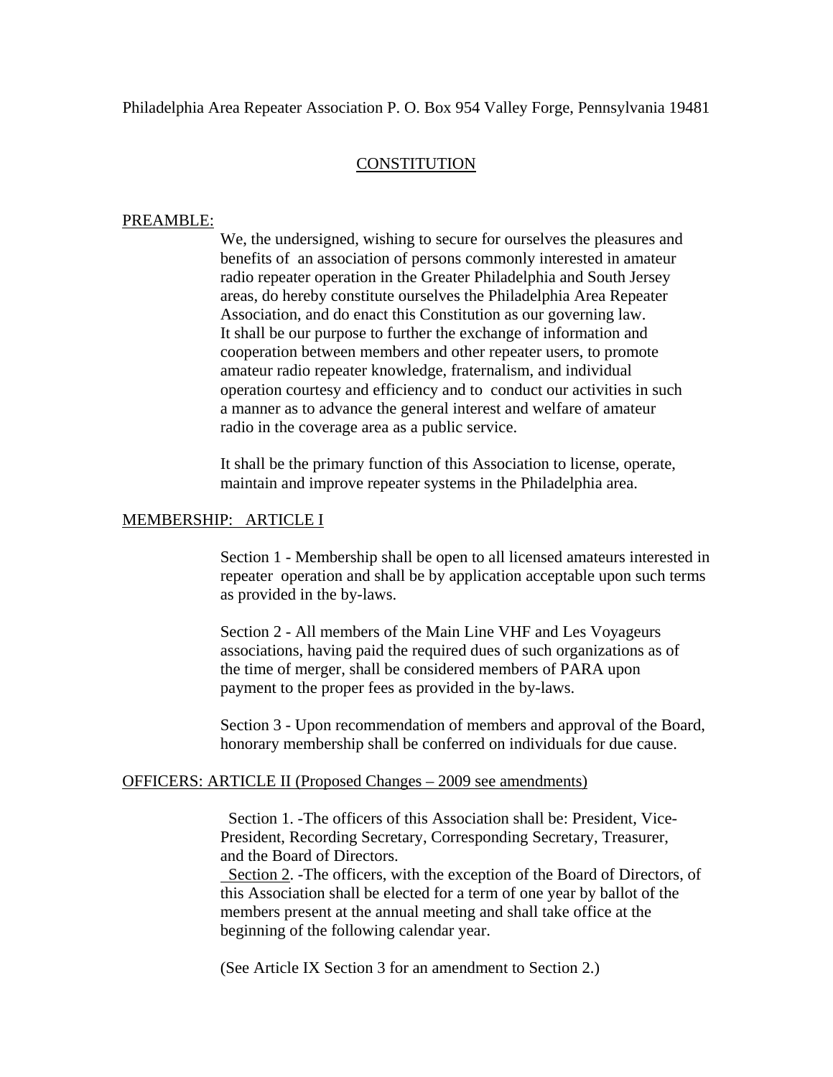## **CONSTITUTION**

### PREAMBLE:

We, the undersigned, wishing to secure for ourselves the pleasures and benefits of an association of persons commonly interested in amateur radio repeater operation in the Greater Philadelphia and South Jersey areas, do hereby constitute ourselves the Philadelphia Area Repeater Association, and do enact this Constitution as our governing law. It shall be our purpose to further the exchange of information and cooperation between members and other repeater users, to promote amateur radio repeater knowledge, fraternalism, and individual operation courtesy and efficiency and to conduct our activities in such a manner as to advance the general interest and welfare of amateur radio in the coverage area as a public service.

It shall be the primary function of this Association to license, operate, maintain and improve repeater systems in the Philadelphia area.

### MEMBERSHIP: ARTICLE I

Section 1 - Membership shall be open to all licensed amateurs interested in repeater operation and shall be by application acceptable upon such terms as provided in the by-laws.

Section 2 - All members of the Main Line VHF and Les Voyageurs associations, having paid the required dues of such organizations as of the time of merger, shall be considered members of PARA upon payment to the proper fees as provided in the by-laws.

Section 3 - Upon recommendation of members and approval of the Board, honorary membership shall be conferred on individuals for due cause.

### OFFICERS: ARTICLE II (Proposed Changes – 2009 see amendments)

 Section 1. -The officers of this Association shall be: President, Vice-President, Recording Secretary, Corresponding Secretary, Treasurer, and the Board of Directors.

 Section 2. -The officers, with the exception of the Board of Directors, of this Association shall be elected for a term of one year by ballot of the members present at the annual meeting and shall take office at the beginning of the following calendar year.

(See Article IX Section 3 for an amendment to Section 2.)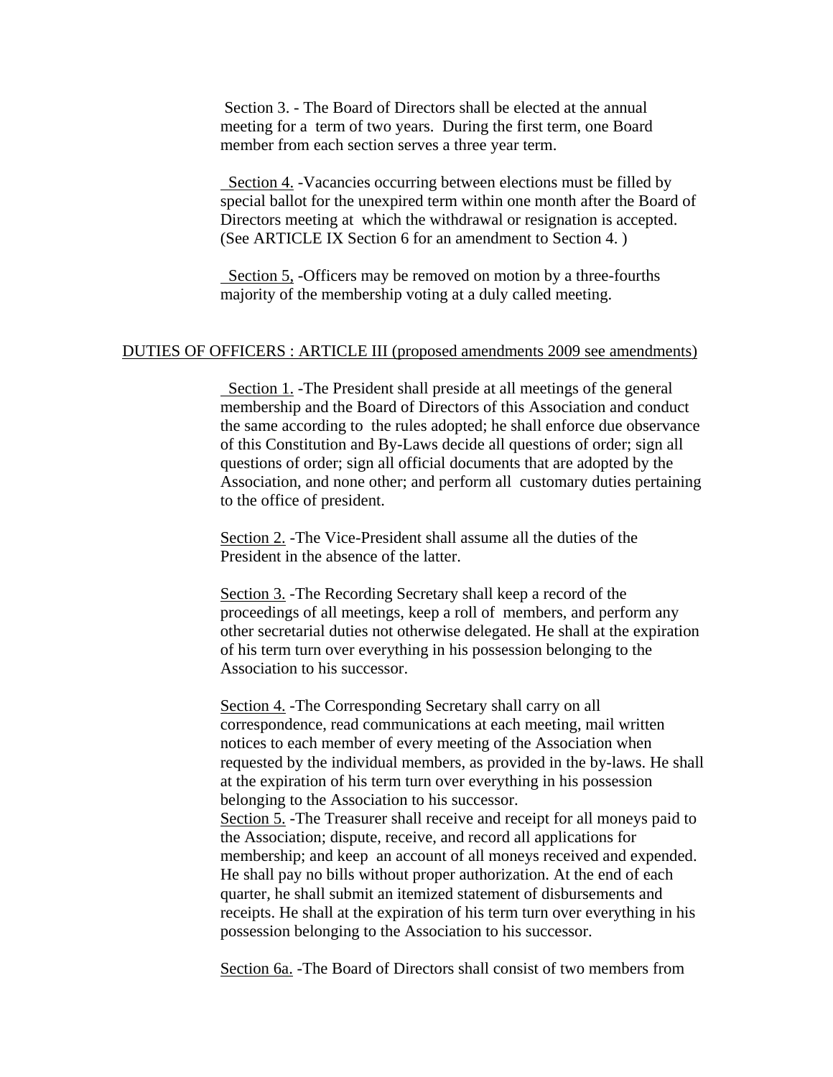Section 3. - The Board of Directors shall be elected at the annual meeting for a term of two years. During the first term, one Board member from each section serves a three year term.

 Section 4. -Vacancies occurring between elections must be filled by special ballot for the unexpired term within one month after the Board of Directors meeting at which the withdrawal or resignation is accepted. (See ARTICLE IX Section 6 for an amendment to Section 4. )

 Section 5, -Officers may be removed on motion by a three-fourths majority of the membership voting at a duly called meeting.

#### DUTIES OF OFFICERS : ARTICLE III (proposed amendments 2009 see amendments)

 Section 1. -The President shall preside at all meetings of the general membership and the Board of Directors of this Association and conduct the same according to the rules adopted; he shall enforce due observance of this Constitution and By-Laws decide all questions of order; sign all questions of order; sign all official documents that are adopted by the Association, and none other; and perform all customary duties pertaining to the office of president.

Section 2. -The Vice-President shall assume all the duties of the President in the absence of the latter.

Section 3. -The Recording Secretary shall keep a record of the proceedings of all meetings, keep a roll of members, and perform any other secretarial duties not otherwise delegated. He shall at the expiration of his term turn over everything in his possession belonging to the Association to his successor.

Section 4. -The Corresponding Secretary shall carry on all correspondence, read communications at each meeting, mail written notices to each member of every meeting of the Association when requested by the individual members, as provided in the by-laws. He shall at the expiration of his term turn over everything in his possession belonging to the Association to his successor.

Section 5. -The Treasurer shall receive and receipt for all moneys paid to the Association; dispute, receive, and record all applications for membership; and keep an account of all moneys received and expended. He shall pay no bills without proper authorization. At the end of each quarter, he shall submit an itemized statement of disbursements and receipts. He shall at the expiration of his term turn over everything in his possession belonging to the Association to his successor.

Section 6a. -The Board of Directors shall consist of two members from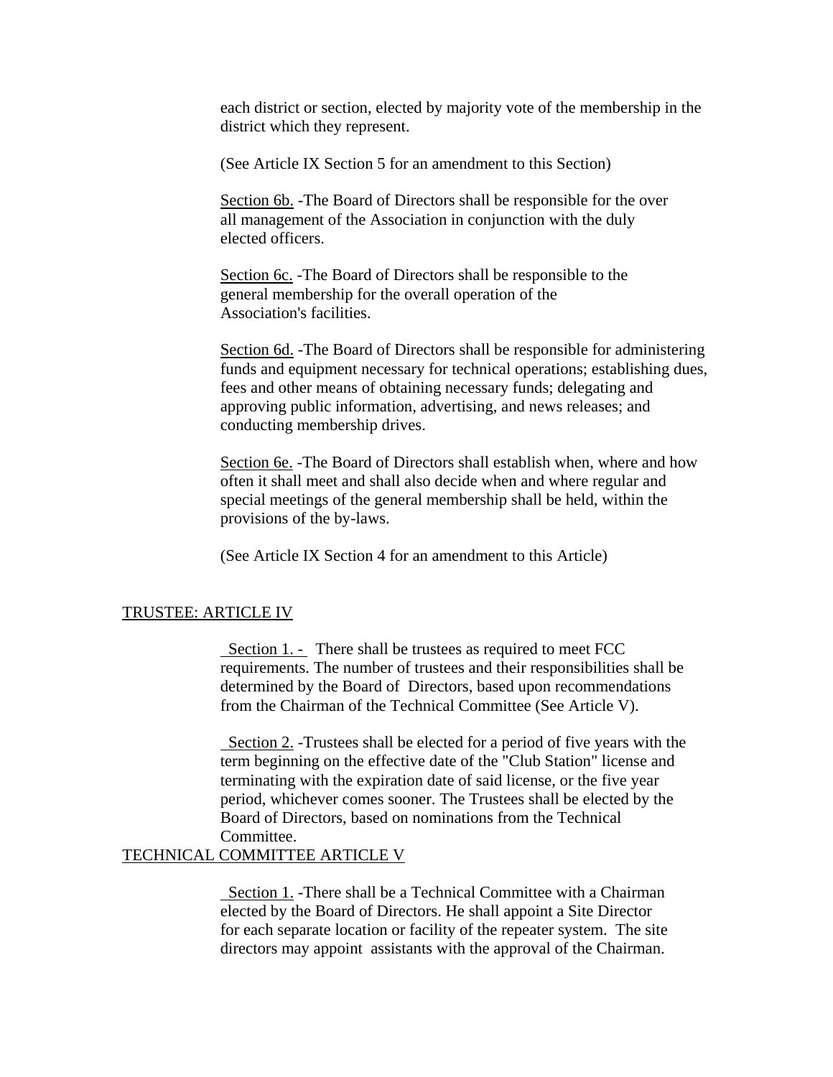each district or section, elected by majority vote of the membership in the district which they represent.

(See Article IX Section 5 for an amendment to this Section)

Section 6b. -The Board of Directors shall be responsible for the over all management of the Association in conjunction with the duly elected officers.

Section 6c. -The Board of Directors shall be responsible to the general membership for the overall operation of the Association's facilities.

Section 6d. -The Board of Directors shall be responsible for administering funds and equipment necessary for technical operations; establishing dues, fees and other means of obtaining necessary funds; delegating and approving public information, advertising, and news releases; and conducting membership drives.

Section 6e. -The Board of Directors shall establish when, where and how often it shall meet and shall also decide when and where regular and special meetings of the general membership shall be held, within the provisions of the by-laws.

(See Article IX Section 4 for an amendment to this Article)

#### TRUSTEE: ARTICLE IV

Section 1. - There shall be trustees as required to meet FCC requirements. The number of trustees and their responsibilities shall be determined by the Board of Directors, based upon recommendations from the Chairman of the Technical Committee (See Article V).

 Section 2. -Trustees shall be elected for a period of five years with the term beginning on the effective date of the "Club Station" license and terminating with the expiration date of said license, or the five year period, whichever comes sooner. The Trustees shall be elected by the Board of Directors, based on nominations from the Technical Committee.

#### TECHNICAL COMMITTEE ARTICLE V

 Section 1. -There shall be a Technical Committee with a Chairman elected by the Board of Directors. He shall appoint a Site Director for each separate location or facility of the repeater system. The site directors may appoint assistants with the approval of the Chairman.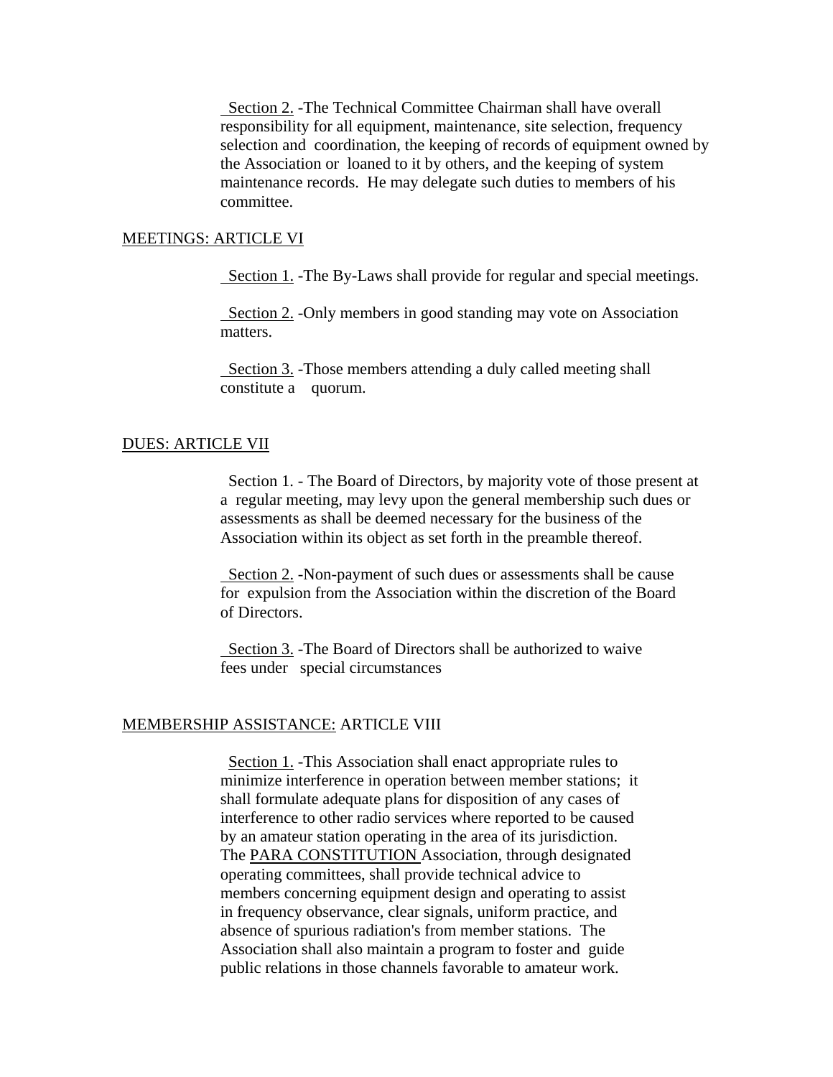Section 2. -The Technical Committee Chairman shall have overall responsibility for all equipment, maintenance, site selection, frequency selection and coordination, the keeping of records of equipment owned by the Association or loaned to it by others, and the keeping of system maintenance records. He may delegate such duties to members of his committee.

#### MEETINGS: ARTICLE VI

Section 1. -The By-Laws shall provide for regular and special meetings.

 Section 2. -Only members in good standing may vote on Association matters.

 Section 3. -Those members attending a duly called meeting shall constitute a quorum.

#### DUES: ARTICLE VII

 Section 1. - The Board of Directors, by majority vote of those present at a regular meeting, may levy upon the general membership such dues or assessments as shall be deemed necessary for the business of the Association within its object as set forth in the preamble thereof.

Section 2. -Non-payment of such dues or assessments shall be cause for expulsion from the Association within the discretion of the Board of Directors.

 Section 3. -The Board of Directors shall be authorized to waive fees under special circumstances

#### MEMBERSHIP ASSISTANCE: ARTICLE VIII

Section 1. -This Association shall enact appropriate rules to minimize interference in operation between member stations; it shall formulate adequate plans for disposition of any cases of interference to other radio services where reported to be caused by an amateur station operating in the area of its jurisdiction. The PARA CONSTITUTION Association, through designated operating committees, shall provide technical advice to members concerning equipment design and operating to assist in frequency observance, clear signals, uniform practice, and absence of spurious radiation's from member stations. The Association shall also maintain a program to foster and guide public relations in those channels favorable to amateur work.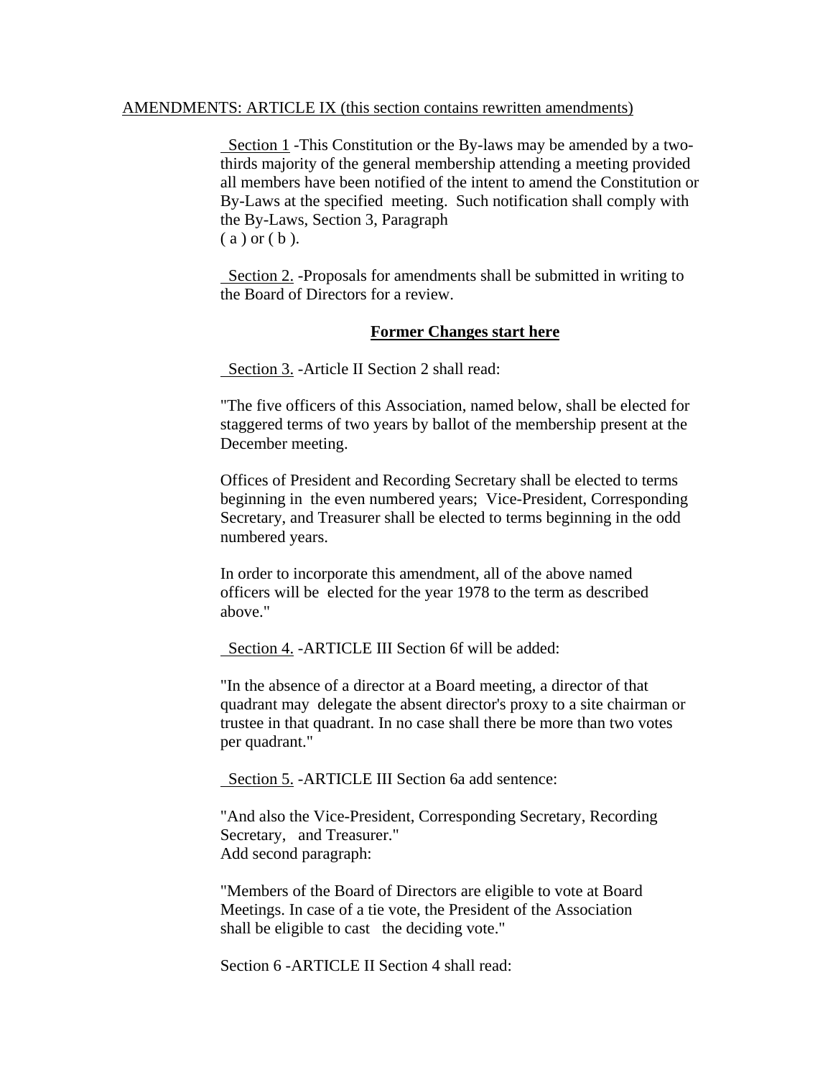#### AMENDMENTS: ARTICLE IX (this section contains rewritten amendments)

 Section 1 -This Constitution or the By-laws may be amended by a twothirds majority of the general membership attending a meeting provided all members have been notified of the intent to amend the Constitution or By-Laws at the specified meeting. Such notification shall comply with the By-Laws, Section 3, Paragraph  $(a)$  or  $(b)$ .

 Section 2. -Proposals for amendments shall be submitted in writing to the Board of Directors for a review.

#### **Former Changes start here**

Section 3. -Article II Section 2 shall read:

"The five officers of this Association, named below, shall be elected for staggered terms of two years by ballot of the membership present at the December meeting.

Offices of President and Recording Secretary shall be elected to terms beginning in the even numbered years; Vice-President, Corresponding Secretary, and Treasurer shall be elected to terms beginning in the odd numbered years.

In order to incorporate this amendment, all of the above named officers will be elected for the year 1978 to the term as described above."

Section 4. -ARTICLE III Section 6f will be added:

"In the absence of a director at a Board meeting, a director of that quadrant may delegate the absent director's proxy to a site chairman or trustee in that quadrant. In no case shall there be more than two votes per quadrant."

Section 5. -ARTICLE III Section 6a add sentence:

"And also the Vice-President, Corresponding Secretary, Recording Secretary, and Treasurer." Add second paragraph:

"Members of the Board of Directors are eligible to vote at Board Meetings. In case of a tie vote, the President of the Association shall be eligible to cast the deciding vote."

Section 6 -ARTICLE II Section 4 shall read: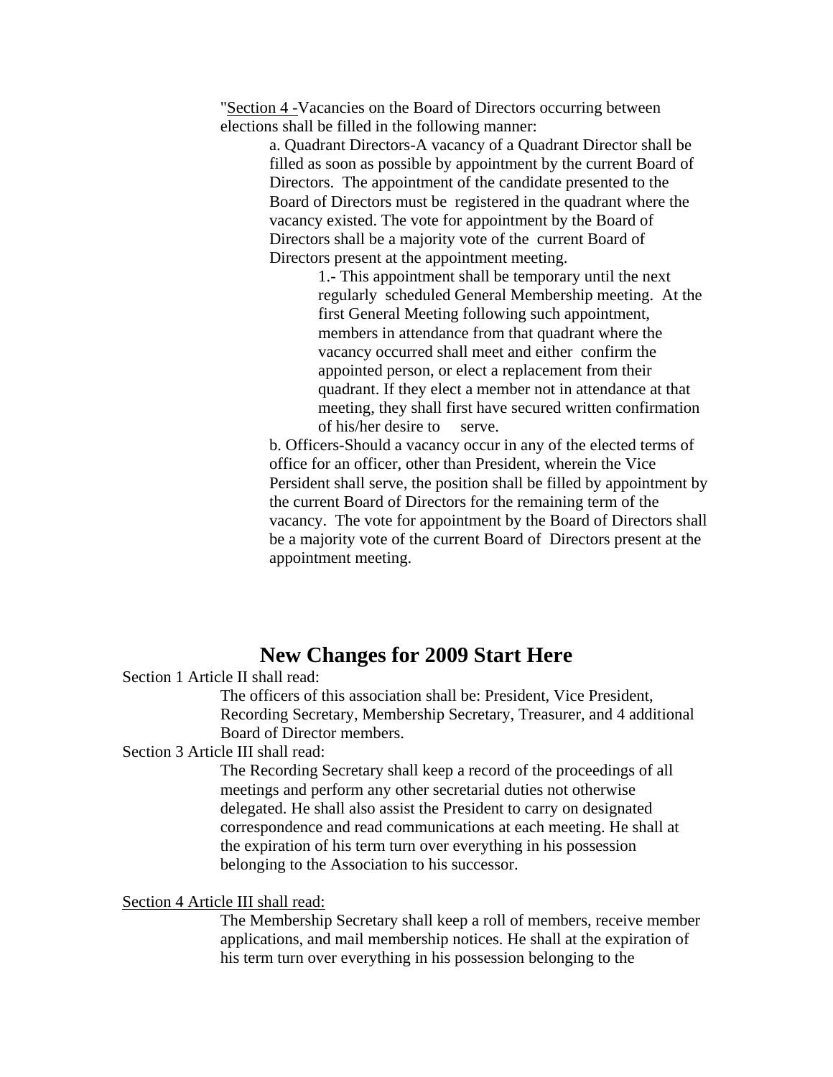"Section 4 -Vacancies on the Board of Directors occurring between elections shall be filled in the following manner:

> a. Quadrant Directors-A vacancy of a Quadrant Director shall be filled as soon as possible by appointment by the current Board of Directors. The appointment of the candidate presented to the Board of Directors must be registered in the quadrant where the vacancy existed. The vote for appointment by the Board of Directors shall be a majority vote of the current Board of Directors present at the appointment meeting.

> > 1.- This appointment shall be temporary until the next regularly scheduled General Membership meeting. At the first General Meeting following such appointment, members in attendance from that quadrant where the vacancy occurred shall meet and either confirm the appointed person, or elect a replacement from their quadrant. If they elect a member not in attendance at that meeting, they shall first have secured written confirmation of his/her desire to serve.

b. Officers-Should a vacancy occur in any of the elected terms of office for an officer, other than President, wherein the Vice Persident shall serve, the position shall be filled by appointment by the current Board of Directors for the remaining term of the vacancy. The vote for appointment by the Board of Directors shall be a majority vote of the current Board of Directors present at the appointment meeting.

# **New Changes for 2009 Start Here**

Section 1 Article II shall read:

The officers of this association shall be: President, Vice President, Recording Secretary, Membership Secretary, Treasurer, and 4 additional Board of Director members.

Section 3 Article III shall read:

The Recording Secretary shall keep a record of the proceedings of all meetings and perform any other secretarial duties not otherwise delegated. He shall also assist the President to carry on designated correspondence and read communications at each meeting. He shall at the expiration of his term turn over everything in his possession belonging to the Association to his successor.

#### Section 4 Article III shall read:

The Membership Secretary shall keep a roll of members, receive member applications, and mail membership notices. He shall at the expiration of his term turn over everything in his possession belonging to the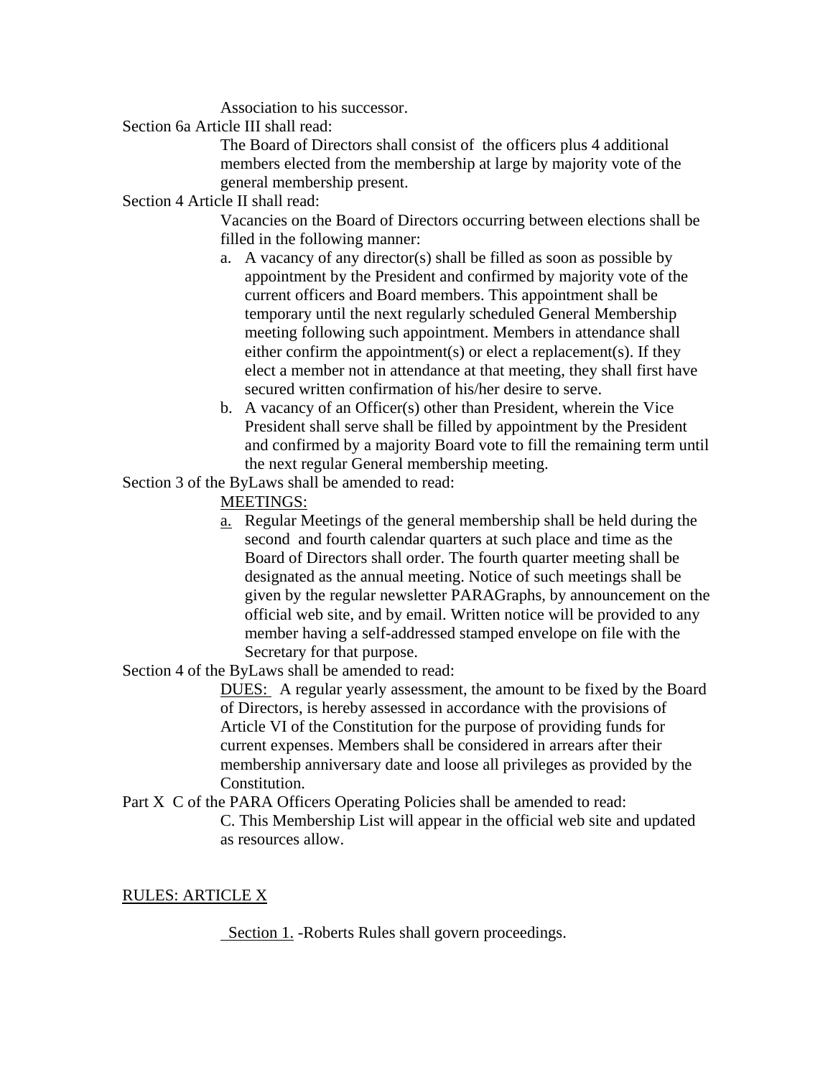Association to his successor.

Section 6a Article III shall read:

The Board of Directors shall consist of the officers plus 4 additional members elected from the membership at large by majority vote of the general membership present.

## Section 4 Article II shall read:

Vacancies on the Board of Directors occurring between elections shall be filled in the following manner:

- a. A vacancy of any director(s) shall be filled as soon as possible by appointment by the President and confirmed by majority vote of the current officers and Board members. This appointment shall be temporary until the next regularly scheduled General Membership meeting following such appointment. Members in attendance shall either confirm the appointment(s) or elect a replacement(s). If they elect a member not in attendance at that meeting, they shall first have secured written confirmation of his/her desire to serve.
- b. A vacancy of an Officer(s) other than President, wherein the Vice President shall serve shall be filled by appointment by the President and confirmed by a majority Board vote to fill the remaining term until the next regular General membership meeting.

Section 3 of the ByLaws shall be amended to read:

- MEETINGS:
- a. Regular Meetings of the general membership shall be held during the second and fourth calendar quarters at such place and time as the Board of Directors shall order. The fourth quarter meeting shall be designated as the annual meeting. Notice of such meetings shall be given by the regular newsletter PARAGraphs, by announcement on the official web site, and by email. Written notice will be provided to any member having a self-addressed stamped envelope on file with the Secretary for that purpose.

Section 4 of the ByLaws shall be amended to read:

DUES: A regular yearly assessment, the amount to be fixed by the Board of Directors, is hereby assessed in accordance with the provisions of Article VI of the Constitution for the purpose of providing funds for current expenses. Members shall be considered in arrears after their membership anniversary date and loose all privileges as provided by the Constitution.

Part X C of the PARA Officers Operating Policies shall be amended to read: C. This Membership List will appear in the official web site and updated as resources allow.

### RULES: ARTICLE X

Section 1. -Roberts Rules shall govern proceedings.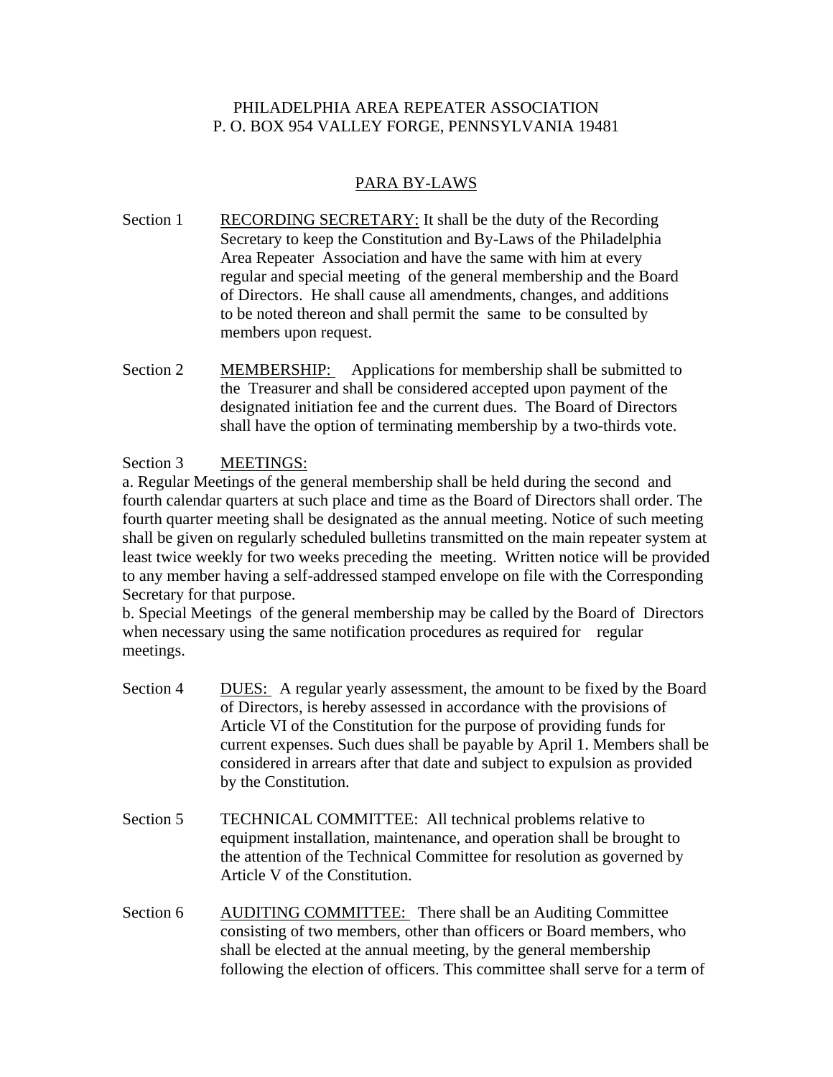### PHILADELPHIA AREA REPEATER ASSOCIATION P. O. BOX 954 VALLEY FORGE, PENNSYLVANIA 19481

## PARA BY-LAWS

- Section 1 RECORDING SECRETARY: It shall be the duty of the Recording Secretary to keep the Constitution and By-Laws of the Philadelphia Area Repeater Association and have the same with him at every regular and special meeting of the general membership and the Board of Directors. He shall cause all amendments, changes, and additions to be noted thereon and shall permit the same to be consulted by members upon request.
- Section 2 MEMBERSHIP: Applications for membership shall be submitted to the Treasurer and shall be considered accepted upon payment of the designated initiation fee and the current dues. The Board of Directors shall have the option of terminating membership by a two-thirds vote.

## Section 3 MEETINGS:

a. Regular Meetings of the general membership shall be held during the second and fourth calendar quarters at such place and time as the Board of Directors shall order. The fourth quarter meeting shall be designated as the annual meeting. Notice of such meeting shall be given on regularly scheduled bulletins transmitted on the main repeater system at least twice weekly for two weeks preceding the meeting. Written notice will be provided to any member having a self-addressed stamped envelope on file with the Corresponding Secretary for that purpose.

b. Special Meetings of the general membership may be called by the Board of Directors when necessary using the same notification procedures as required for regular meetings.

- Section 4 DUES: A regular yearly assessment, the amount to be fixed by the Board of Directors, is hereby assessed in accordance with the provisions of Article VI of the Constitution for the purpose of providing funds for current expenses. Such dues shall be payable by April 1. Members shall be considered in arrears after that date and subject to expulsion as provided by the Constitution.
- Section 5 TECHNICAL COMMITTEE: All technical problems relative to equipment installation, maintenance, and operation shall be brought to the attention of the Technical Committee for resolution as governed by Article V of the Constitution.
- Section 6 AUDITING COMMITTEE: There shall be an Auditing Committee consisting of two members, other than officers or Board members, who shall be elected at the annual meeting, by the general membership following the election of officers. This committee shall serve for a term of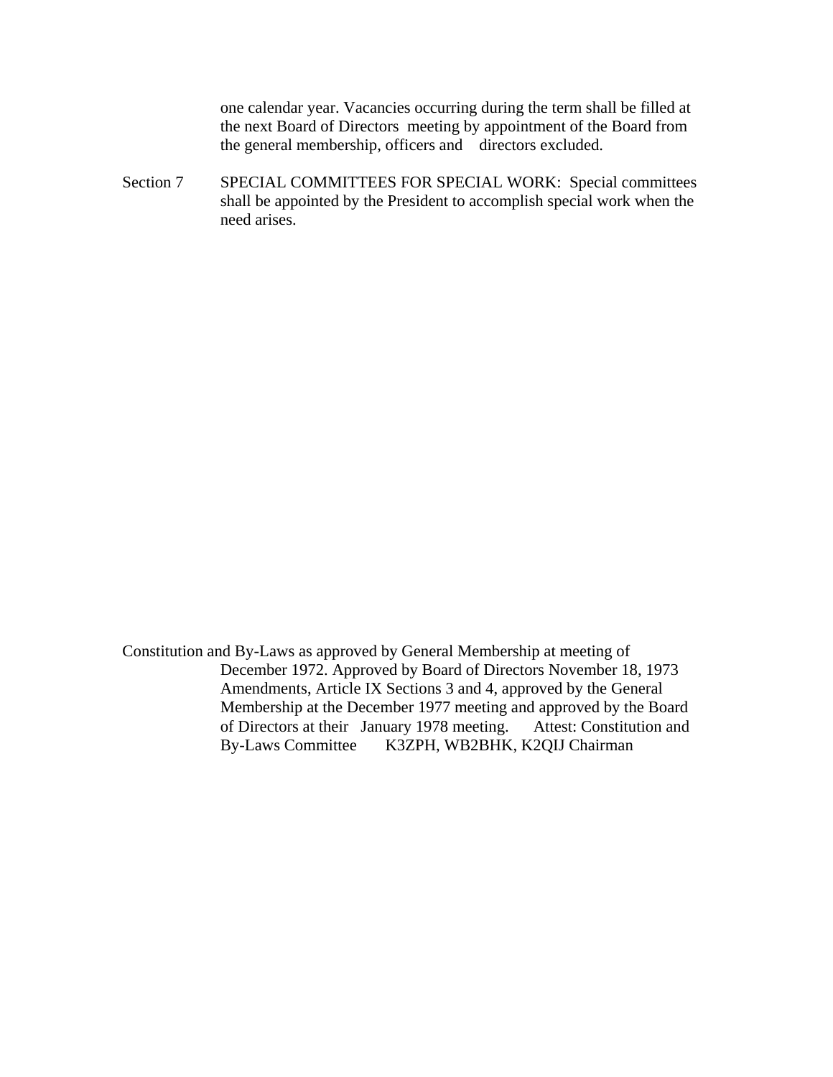one calendar year. Vacancies occurring during the term shall be filled at the next Board of Directors meeting by appointment of the Board from the general membership, officers and directors excluded.

Section 7 SPECIAL COMMITTEES FOR SPECIAL WORK: Special committees shall be appointed by the President to accomplish special work when the need arises.

Constitution and By-Laws as approved by General Membership at meeting of December 1972. Approved by Board of Directors November 18, 1973 Amendments, Article IX Sections 3 and 4, approved by the General Membership at the December 1977 meeting and approved by the Board of Directors at their January 1978 meeting. Attest: Constitution and By-Laws Committee K3ZPH, WB2BHK, K2QIJ Chairman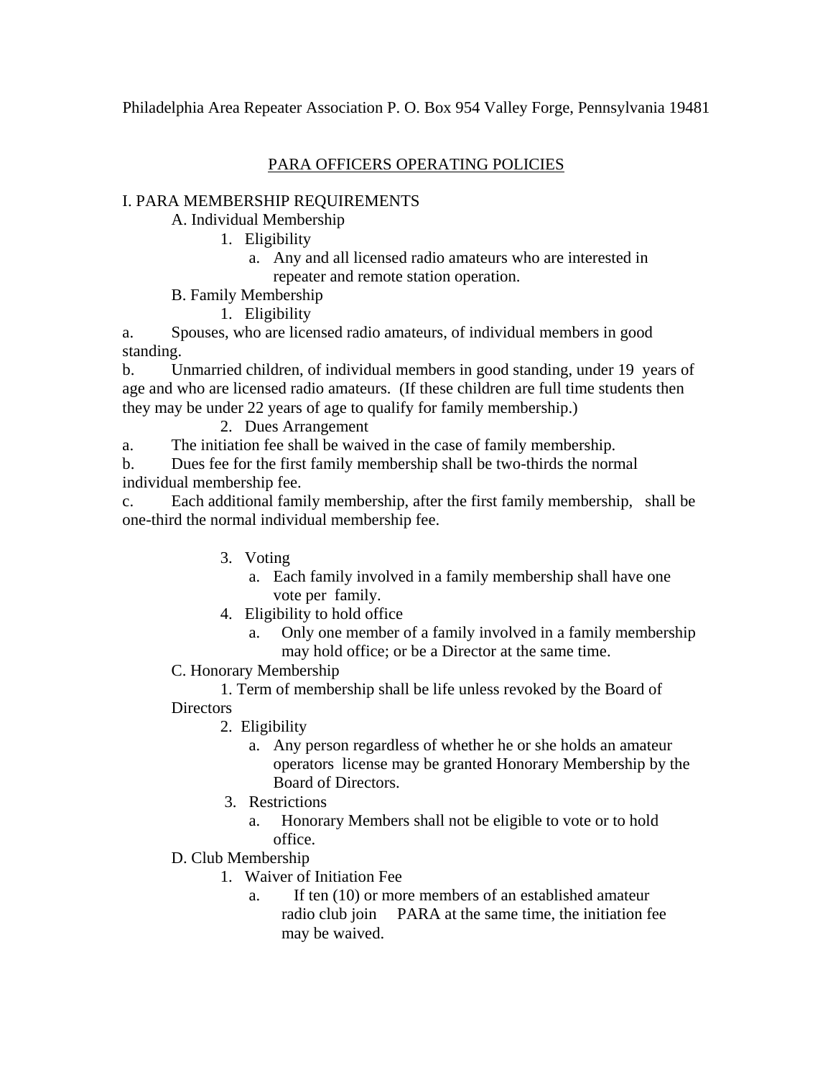Philadelphia Area Repeater Association P. O. Box 954 Valley Forge, Pennsylvania 19481

## PARA OFFICERS OPERATING POLICIES

## I. PARA MEMBERSHIP REQUIREMENTS

A. Individual Membership

- 1. Eligibility
	- a. Any and all licensed radio amateurs who are interested in repeater and remote station operation.
- B. Family Membership
	- 1. Eligibility

a. Spouses, who are licensed radio amateurs, of individual members in good standing.

b. Unmarried children, of individual members in good standing, under 19 years of age and who are licensed radio amateurs. (If these children are full time students then they may be under 22 years of age to qualify for family membership.)

## 2. Dues Arrangement

a. The initiation fee shall be waived in the case of family membership.

b. Dues fee for the first family membership shall be two-thirds the normal individual membership fee.

c. Each additional family membership, after the first family membership, shall be one-third the normal individual membership fee.

- 3. Voting
	- a. Each family involved in a family membership shall have one vote per family.
- 4. Eligibility to hold office
	- a. Only one member of a family involved in a family membership may hold office; or be a Director at the same time.

C. Honorary Membership

1. Term of membership shall be life unless revoked by the Board of **Directors** 

- 2. Eligibility
	- a. Any person regardless of whether he or she holds an amateur operators license may be granted Honorary Membership by the Board of Directors.
- 3. Restrictions
	- a. Honorary Members shall not be eligible to vote or to hold office.
- D. Club Membership
	- 1. Waiver of Initiation Fee
		- a. If ten (10) or more members of an established amateur radio club join PARA at the same time, the initiation fee may be waived.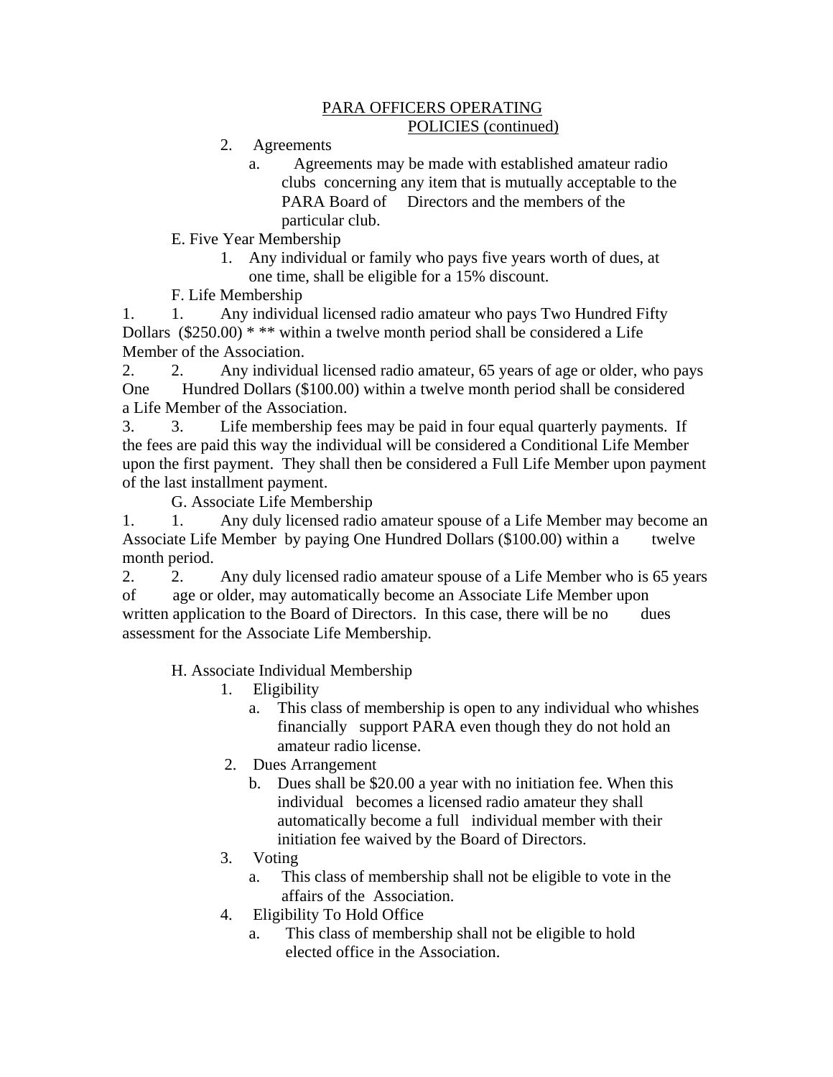### PARA OFFICERS OPERATING POLICIES (continued)

- 2. Agreements
	- a. Agreements may be made with established amateur radio clubs concerning any item that is mutually acceptable to the PARA Board of Directors and the members of the particular club.

E. Five Year Membership

- 1. Any individual or family who pays five years worth of dues, at one time, shall be eligible for a 15% discount.
- F. Life Membership

1. 1. Any individual licensed radio amateur who pays Two Hundred Fifty Dollars  $(\$250.00)$  \* \*\* within a twelve month period shall be considered a Life Member of the Association.

2. 2. Any individual licensed radio amateur, 65 years of age or older, who pays One Hundred Dollars (\$100.00) within a twelve month period shall be considered a Life Member of the Association.

3. 3. Life membership fees may be paid in four equal quarterly payments. If the fees are paid this way the individual will be considered a Conditional Life Member upon the first payment. They shall then be considered a Full Life Member upon payment of the last installment payment.

G. Associate Life Membership

1. 1. Any duly licensed radio amateur spouse of a Life Member may become an Associate Life Member by paying One Hundred Dollars (\$100.00) within a twelve month period.

2. 2. Any duly licensed radio amateur spouse of a Life Member who is 65 years of age or older, may automatically become an Associate Life Member upon written application to the Board of Directors. In this case, there will be no dues assessment for the Associate Life Membership.

H. Associate Individual Membership

- 1. Eligibility
	- a. This class of membership is open to any individual who whishes financially support PARA even though they do not hold an amateur radio license.
- 2. Dues Arrangement
	- b. Dues shall be \$20.00 a year with no initiation fee. When this individual becomes a licensed radio amateur they shall automatically become a full individual member with their initiation fee waived by the Board of Directors.
- 3. Voting
	- a. This class of membership shall not be eligible to vote in the affairs of the Association.
- 4. Eligibility To Hold Office
	- a. This class of membership shall not be eligible to hold elected office in the Association.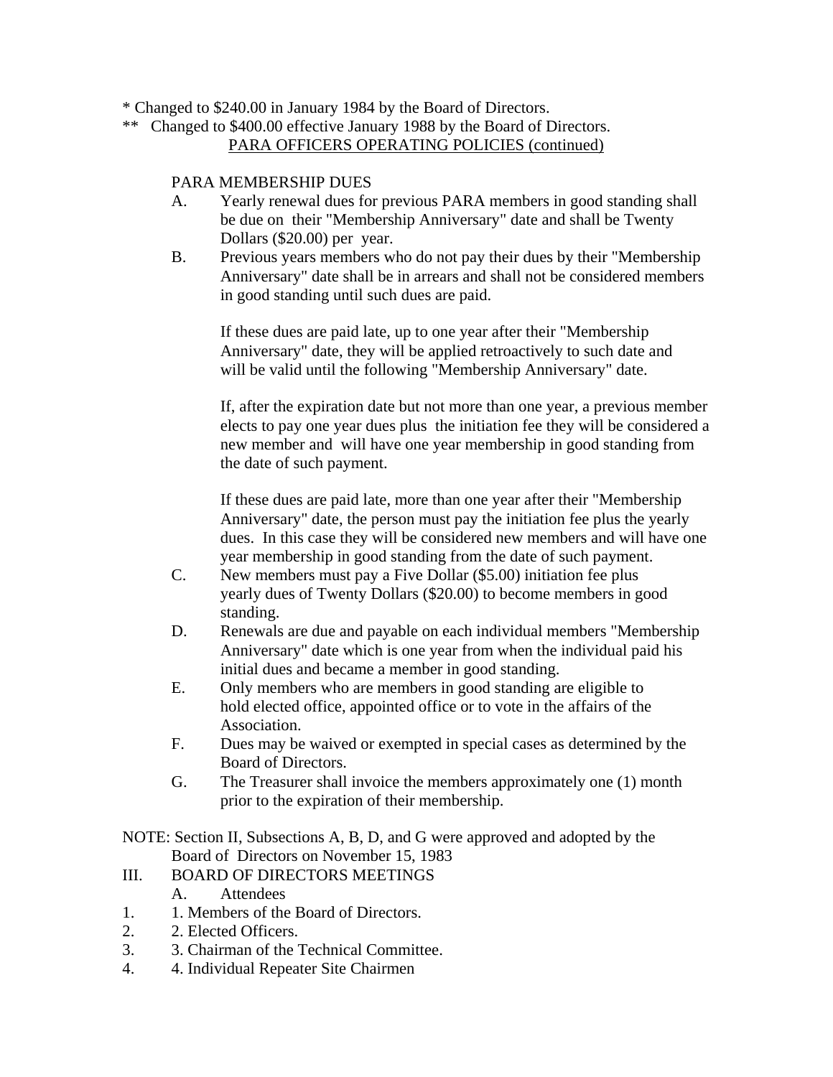- \* Changed to \$240.00 in January 1984 by the Board of Directors.
- \*\* Changed to \$400.00 effective January 1988 by the Board of Directors. PARA OFFICERS OPERATING POLICIES (continued)

### PARA MEMBERSHIP DUES

- A. Yearly renewal dues for previous PARA members in good standing shall be due on their "Membership Anniversary" date and shall be Twenty Dollars (\$20.00) per year.
- B. Previous years members who do not pay their dues by their "Membership" Anniversary" date shall be in arrears and shall not be considered members in good standing until such dues are paid.

If these dues are paid late, up to one year after their "Membership Anniversary" date, they will be applied retroactively to such date and will be valid until the following "Membership Anniversary" date.

If, after the expiration date but not more than one year, a previous member elects to pay one year dues plus the initiation fee they will be considered a new member and will have one year membership in good standing from the date of such payment.

If these dues are paid late, more than one year after their "Membership Anniversary" date, the person must pay the initiation fee plus the yearly dues. In this case they will be considered new members and will have one year membership in good standing from the date of such payment.

- C. New members must pay a Five Dollar (\$5.00) initiation fee plus yearly dues of Twenty Dollars (\$20.00) to become members in good standing.
- D. Renewals are due and payable on each individual members "Membership Anniversary" date which is one year from when the individual paid his initial dues and became a member in good standing.
- E. Only members who are members in good standing are eligible to hold elected office, appointed office or to vote in the affairs of the Association.
- F. Dues may be waived or exempted in special cases as determined by the Board of Directors.
- G. The Treasurer shall invoice the members approximately one (1) month prior to the expiration of their membership.

NOTE: Section II, Subsections A, B, D, and G were approved and adopted by the Board of Directors on November 15, 1983

- III. BOARD OF DIRECTORS MEETINGS
	- A. Attendees
- 1. 1. Members of the Board of Directors.
- 2. 2. Elected Officers.
- 3. 3. Chairman of the Technical Committee.
- 4. 4. Individual Repeater Site Chairmen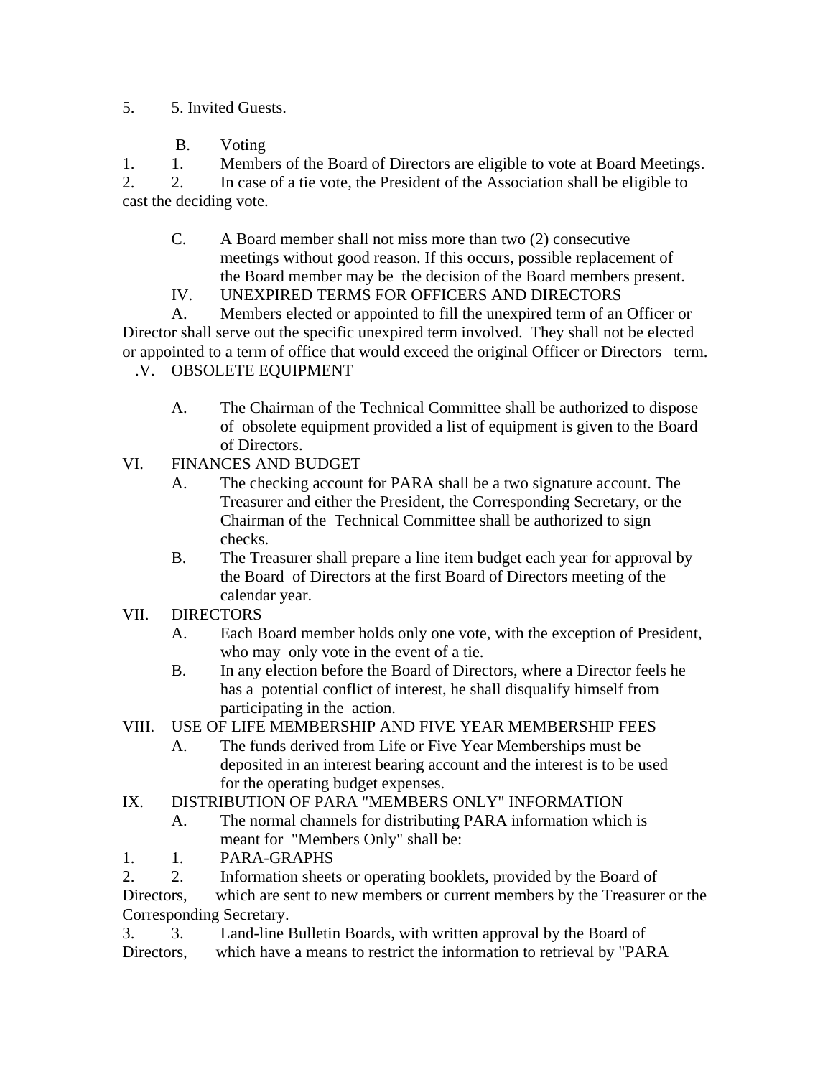## 5. 5. Invited Guests.

B. Voting

1. 1. Members of the Board of Directors are eligible to vote at Board Meetings. 2. 2. In case of a tie vote, the President of the Association shall be eligible to cast the deciding vote.

- C. A Board member shall not miss more than two (2) consecutive meetings without good reason. If this occurs, possible replacement of the Board member may be the decision of the Board members present.
- IV. UNEXPIRED TERMS FOR OFFICERS AND DIRECTORS

A. Members elected or appointed to fill the unexpired term of an Officer or Director shall serve out the specific unexpired term involved. They shall not be elected or appointed to a term of office that would exceed the original Officer or Directors term. .V. OBSOLETE EQUIPMENT

- A. The Chairman of the Technical Committee shall be authorized to dispose of obsolete equipment provided a list of equipment is given to the Board of Directors.
- VI. FINANCES AND BUDGET
	- A. The checking account for PARA shall be a two signature account. The Treasurer and either the President, the Corresponding Secretary, or the Chairman of the Technical Committee shall be authorized to sign checks.
	- B. The Treasurer shall prepare a line item budget each year for approval by the Board of Directors at the first Board of Directors meeting of the calendar year.
- VII. DIRECTORS
	- A. Each Board member holds only one vote, with the exception of President, who may only vote in the event of a tie.
	- B. In any election before the Board of Directors, where a Director feels he has a potential conflict of interest, he shall disqualify himself from participating in the action.

## VIII. USE OF LIFE MEMBERSHIP AND FIVE YEAR MEMBERSHIP FEES

A. The funds derived from Life or Five Year Memberships must be deposited in an interest bearing account and the interest is to be used for the operating budget expenses.

## IX. DISTRIBUTION OF PARA "MEMBERS ONLY" INFORMATION

- A. The normal channels for distributing PARA information which is meant for "Members Only" shall be:
- 1. 1. PARA-GRAPHS

2. 2. Information sheets or operating booklets, provided by the Board of Directors, which are sent to new members or current members by the Treasurer or the Corresponding Secretary.

3. 3. Land-line Bulletin Boards, with written approval by the Board of Directors, which have a means to restrict the information to retrieval by "PARA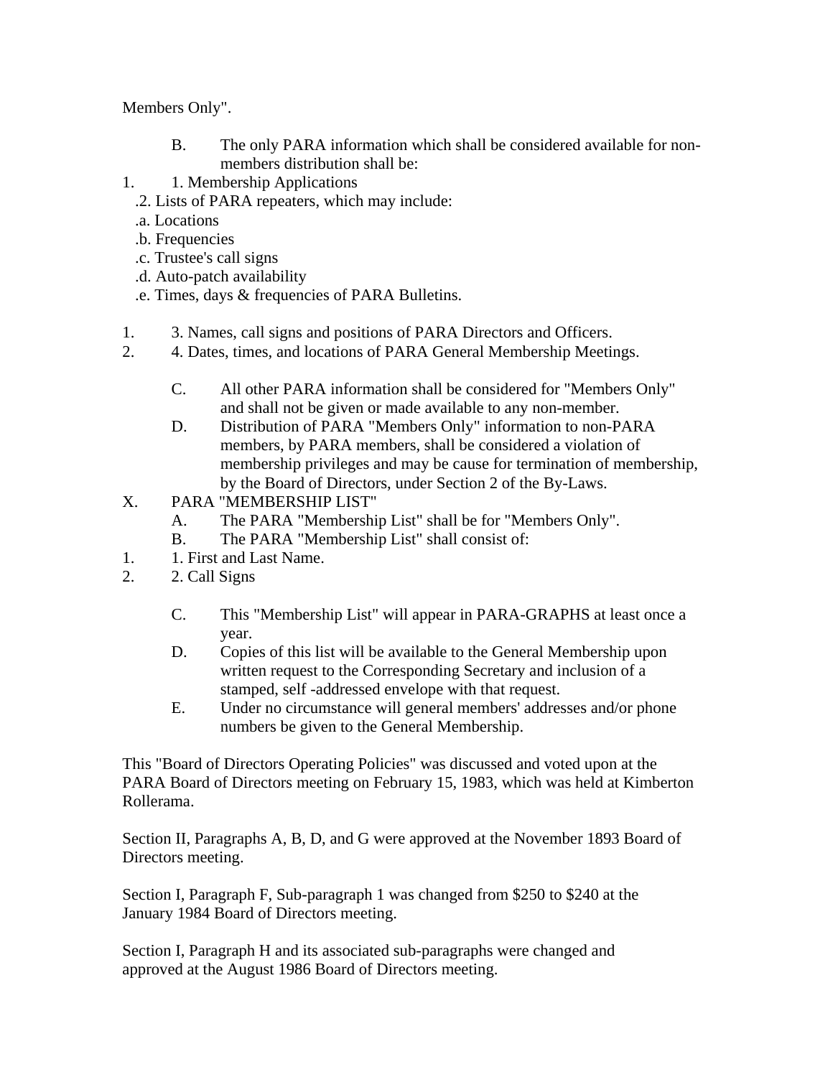Members Only".

- B. The only PARA information which shall be considered available for nonmembers distribution shall be:
- 1. 1. Membership Applications
	- .2. Lists of PARA repeaters, which may include:
	- .a. Locations
	- .b. Frequencies
	- .c. Trustee's call signs
	- .d. Auto-patch availability
	- .e. Times, days & frequencies of PARA Bulletins.
- 1. 3. Names, call signs and positions of PARA Directors and Officers.
- 2. 4. Dates, times, and locations of PARA General Membership Meetings.
	- C. All other PARA information shall be considered for "Members Only" and shall not be given or made available to any non-member.
	- D. Distribution of PARA "Members Only" information to non-PARA members, by PARA members, shall be considered a violation of membership privileges and may be cause for termination of membership, by the Board of Directors, under Section 2 of the By-Laws.
- X. PARA "MEMBERSHIP LIST"
	- A. The PARA "Membership List" shall be for "Members Only".
	- B. The PARA "Membership List" shall consist of:
- 1. 1. First and Last Name.
- 2. 2. Call Signs
	- C. This "Membership List" will appear in PARA-GRAPHS at least once a year.
	- D. Copies of this list will be available to the General Membership upon written request to the Corresponding Secretary and inclusion of a stamped, self -addressed envelope with that request.
	- E. Under no circumstance will general members' addresses and/or phone numbers be given to the General Membership.

This "Board of Directors Operating Policies" was discussed and voted upon at the PARA Board of Directors meeting on February 15, 1983, which was held at Kimberton Rollerama.

Section II, Paragraphs A, B, D, and G were approved at the November 1893 Board of Directors meeting.

Section I, Paragraph F, Sub-paragraph 1 was changed from \$250 to \$240 at the January 1984 Board of Directors meeting.

Section I, Paragraph H and its associated sub-paragraphs were changed and approved at the August 1986 Board of Directors meeting.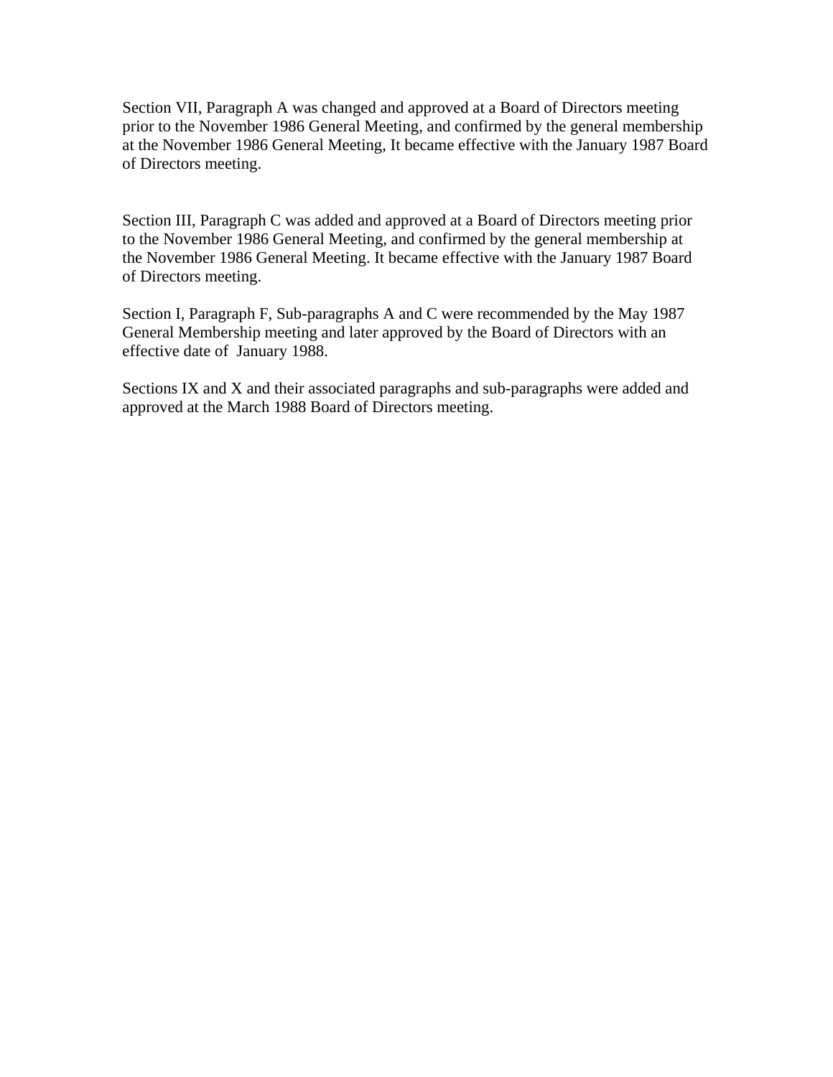Section VII, Paragraph A was changed and approved at a Board of Directors meeting prior to the November 1986 General Meeting, and confirmed by the general membership at the November 1986 General Meeting, It became effective with the January 1987 Board of Directors meeting.

Section III, Paragraph C was added and approved at a Board of Directors meeting prior to the November 1986 General Meeting, and confirmed by the general membership at the November 1986 General Meeting. It became effective with the January 1987 Board of Directors meeting.

Section I, Paragraph F, Sub-paragraphs A and C were recommended by the May 1987 General Membership meeting and later approved by the Board of Directors with an effective date of January 1988.

Sections IX and X and their associated paragraphs and sub-paragraphs were added and approved at the March 1988 Board of Directors meeting.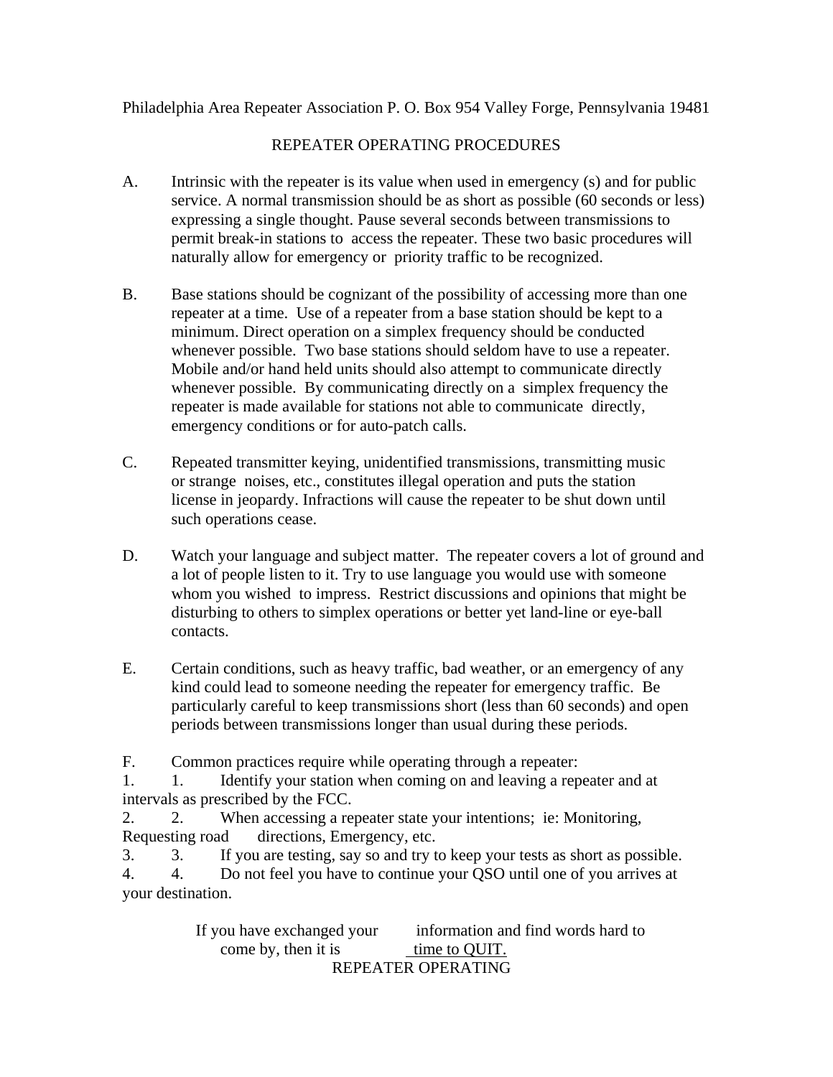## Philadelphia Area Repeater Association P. O. Box 954 Valley Forge, Pennsylvania 19481

## REPEATER OPERATING PROCEDURES

- A. Intrinsic with the repeater is its value when used in emergency (s) and for public service. A normal transmission should be as short as possible (60 seconds or less) expressing a single thought. Pause several seconds between transmissions to permit break-in stations to access the repeater. These two basic procedures will naturally allow for emergency or priority traffic to be recognized.
- B. Base stations should be cognizant of the possibility of accessing more than one repeater at a time. Use of a repeater from a base station should be kept to a minimum. Direct operation on a simplex frequency should be conducted whenever possible. Two base stations should seldom have to use a repeater. Mobile and/or hand held units should also attempt to communicate directly whenever possible. By communicating directly on a simplex frequency the repeater is made available for stations not able to communicate directly, emergency conditions or for auto-patch calls.
- C. Repeated transmitter keying, unidentified transmissions, transmitting music or strange noises, etc., constitutes illegal operation and puts the station license in jeopardy. Infractions will cause the repeater to be shut down until such operations cease.
- D. Watch your language and subject matter. The repeater covers a lot of ground and a lot of people listen to it. Try to use language you would use with someone whom you wished to impress. Restrict discussions and opinions that might be disturbing to others to simplex operations or better yet land-line or eye-ball contacts.
- E. Certain conditions, such as heavy traffic, bad weather, or an emergency of any kind could lead to someone needing the repeater for emergency traffic. Be particularly careful to keep transmissions short (less than 60 seconds) and open periods between transmissions longer than usual during these periods.

F. Common practices require while operating through a repeater:

1. 1. Identify your station when coming on and leaving a repeater and at intervals as prescribed by the FCC.

2. 2. When accessing a repeater state your intentions; ie: Monitoring, Requesting road directions, Emergency, etc.

3. 3. If you are testing, say so and try to keep your tests as short as possible.

4. 4. Do not feel you have to continue your QSO until one of you arrives at your destination.

> If you have exchanged your information and find words hard to come by, then it is time to QUIT. REPEATER OPERATING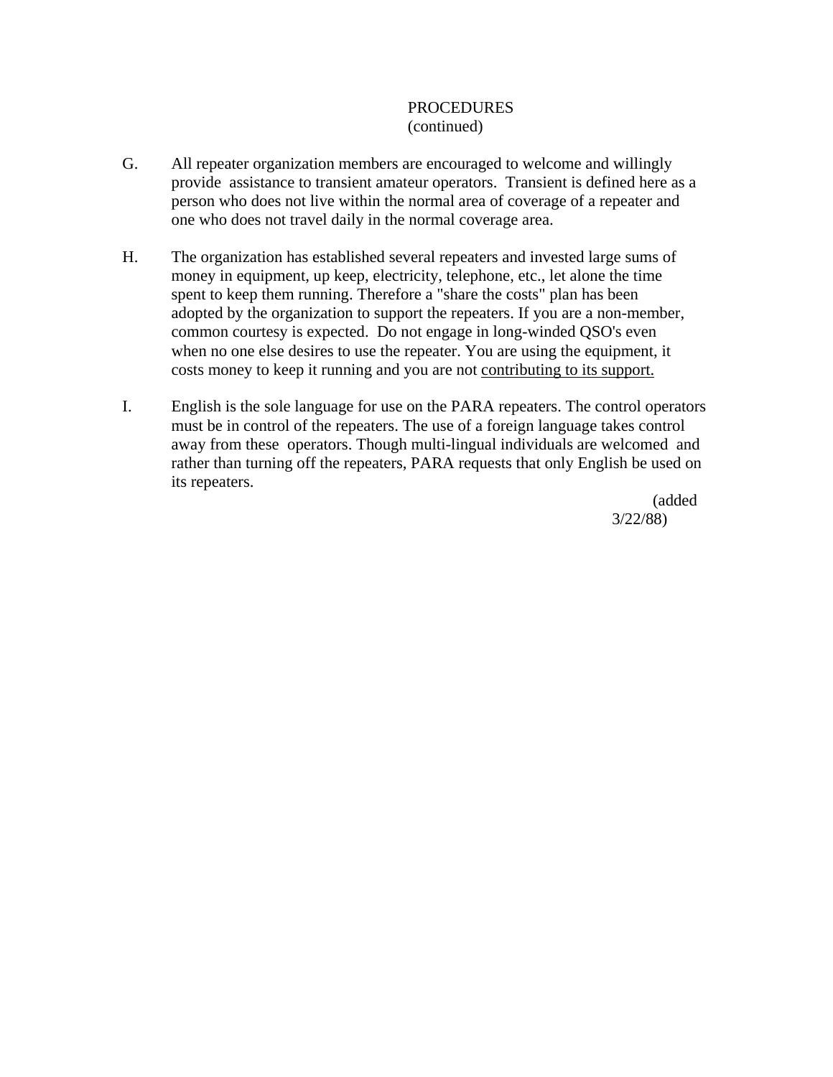## PROCEDURES (continued)

- G. All repeater organization members are encouraged to welcome and willingly provide assistance to transient amateur operators. Transient is defined here as a person who does not live within the normal area of coverage of a repeater and one who does not travel daily in the normal coverage area.
- H. The organization has established several repeaters and invested large sums of money in equipment, up keep, electricity, telephone, etc., let alone the time spent to keep them running. Therefore a "share the costs" plan has been adopted by the organization to support the repeaters. If you are a non-member, common courtesy is expected. Do not engage in long-winded QSO's even when no one else desires to use the repeater. You are using the equipment, it costs money to keep it running and you are not contributing to its support.
- I. English is the sole language for use on the PARA repeaters. The control operators must be in control of the repeaters. The use of a foreign language takes control away from these operators. Though multi-lingual individuals are welcomed and rather than turning off the repeaters, PARA requests that only English be used on its repeaters.

 (added 3/22/88)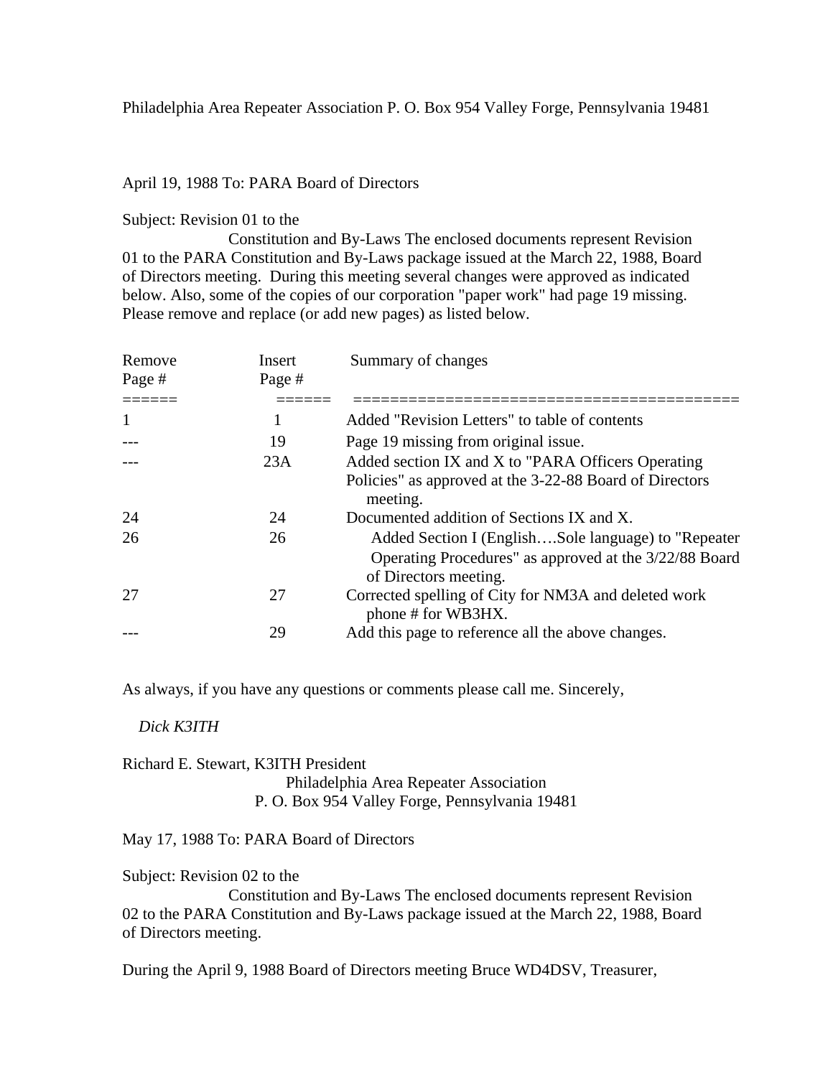### April 19, 1988 To: PARA Board of Directors

### Subject: Revision 01 to the

 Constitution and By-Laws The enclosed documents represent Revision 01 to the PARA Constitution and By-Laws package issued at the March 22, 1988, Board of Directors meeting. During this meeting several changes were approved as indicated below. Also, some of the copies of our corporation "paper work" had page 19 missing. Please remove and replace (or add new pages) as listed below.

| Remove | Insert | Summary of changes                                                                                                                      |
|--------|--------|-----------------------------------------------------------------------------------------------------------------------------------------|
| Page # | Page # |                                                                                                                                         |
|        |        |                                                                                                                                         |
| 1      | 1      | Added "Revision Letters" to table of contents                                                                                           |
|        | 19     | Page 19 missing from original issue.                                                                                                    |
|        | 23A    | Added section IX and X to "PARA Officers Operating                                                                                      |
|        |        | Policies" as approved at the 3-22-88 Board of Directors<br>meeting.                                                                     |
| 24     | 24     | Documented addition of Sections IX and X.                                                                                               |
| 26     | 26     | Added Section I (EnglishSole language) to "Repeater"<br>Operating Procedures" as approved at the 3/22/88 Board<br>of Directors meeting. |
| 27     | 27     | Corrected spelling of City for NM3A and deleted work<br>phone # for WB3HX.                                                              |
|        | 29     | Add this page to reference all the above changes.                                                                                       |

As always, if you have any questions or comments please call me. Sincerely,

### *Dick K3ITH*

Richard E. Stewart, K3ITH President Philadelphia Area Repeater Association P. O. Box 954 Valley Forge, Pennsylvania 19481

May 17, 1988 To: PARA Board of Directors

Subject: Revision 02 to the

 Constitution and By-Laws The enclosed documents represent Revision 02 to the PARA Constitution and By-Laws package issued at the March 22, 1988, Board of Directors meeting.

During the April 9, 1988 Board of Directors meeting Bruce WD4DSV, Treasurer,